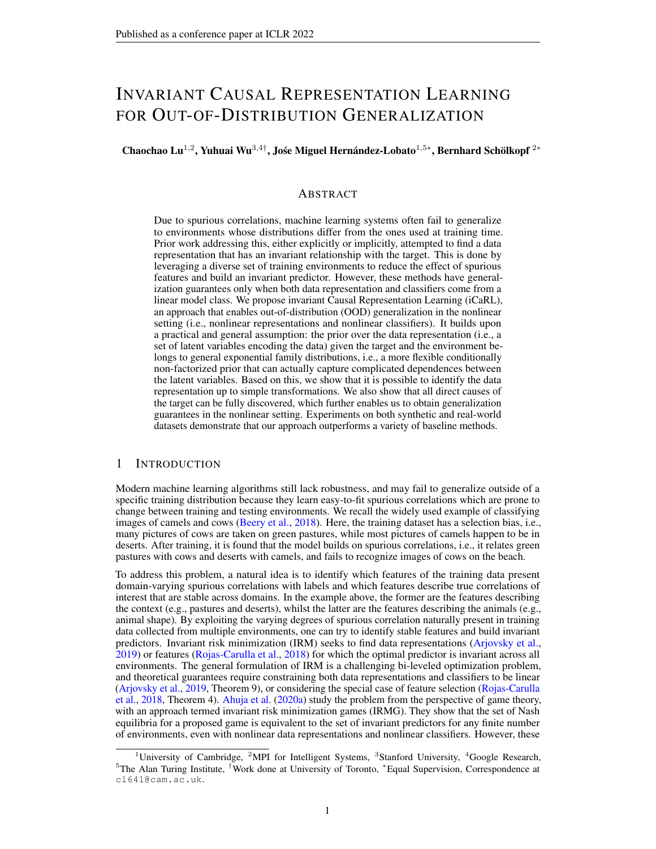# INVARIANT CAUSAL REPRESENTATION LEARNING FOR OUT-OF-DISTRIBUTION GENERALIZATION

Chaochao Lu<sup>1,2</sup>, Yuhuai Wu<sup>3,4†</sup>, Jośe Miguel Hernández-Lobato<sup>1,5</sup>\*, Bernhard Schölkopf<sup>2\*</sup>

#### ABSTRACT

Due to spurious correlations, machine learning systems often fail to generalize to environments whose distributions differ from the ones used at training time. Prior work addressing this, either explicitly or implicitly, attempted to find a data representation that has an invariant relationship with the target. This is done by leveraging a diverse set of training environments to reduce the effect of spurious features and build an invariant predictor. However, these methods have generalization guarantees only when both data representation and classifiers come from a linear model class. We propose invariant Causal Representation Learning (iCaRL), an approach that enables out-of-distribution (OOD) generalization in the nonlinear setting (i.e., nonlinear representations and nonlinear classifiers). It builds upon a practical and general assumption: the prior over the data representation (i.e., a set of latent variables encoding the data) given the target and the environment belongs to general exponential family distributions, i.e., a more flexible conditionally non-factorized prior that can actually capture complicated dependences between the latent variables. Based on this, we show that it is possible to identify the data representation up to simple transformations. We also show that all direct causes of the target can be fully discovered, which further enables us to obtain generalization guarantees in the nonlinear setting. Experiments on both synthetic and real-world datasets demonstrate that our approach outperforms a variety of baseline methods.

#### 1 INTRODUCTION

Modern machine learning algorithms still lack robustness, and may fail to generalize outside of a specific training distribution because they learn easy-to-fit spurious correlations which are prone to change between training and testing environments. We recall the widely used example of classifying images of camels and cows (Beery et al., 2018). Here, the training dataset has a selection bias, i.e., many pictures of cows are taken on green pastures, while most pictures of camels happen to be in deserts. After training, it is found that the model builds on spurious correlations, i.e., it relates green pastures with cows and deserts with camels, and fails to recognize images of cows on the beach.

To address this problem, a natural idea is to identify which features of the training data present domain-varying spurious correlations with labels and which features describe true correlations of interest that are stable across domains. In the example above, the former are the features describing the context (e.g., pastures and deserts), whilst the latter are the features describing the animals (e.g., animal shape). By exploiting the varying degrees of spurious correlation naturally present in training data collected from multiple environments, one can try to identify stable features and build invariant predictors. Invariant risk minimization (IRM) seeks to find data representations (Arjovsky et al., 2019) or features (Rojas-Carulla et al., 2018) for which the optimal predictor is invariant across all environments. The general formulation of IRM is a challenging bi-leveled optimization problem, and theoretical guarantees require constraining both data representations and classifiers to be linear (Arjovsky et al., 2019, Theorem 9), or considering the special case of feature selection (Rojas-Carulla et al., 2018, Theorem 4). Ahuja et al. (2020a) study the problem from the perspective of game theory, with an approach termed invariant risk minimization games (IRMG). They show that the set of Nash equilibria for a proposed game is equivalent to the set of invariant predictors for any finite number of environments, even with nonlinear data representations and nonlinear classifiers. However, these

<sup>&</sup>lt;sup>1</sup>University of Cambridge, <sup>2</sup>MPI for Intelligent Systems, <sup>3</sup>Stanford University, <sup>4</sup>Google Research, <sup>5</sup>The Alan Turing Institute, †Work done at University of Toronto, <sup>∗</sup>Equal Supervision, Correspondence at cl641@cam.ac.uk.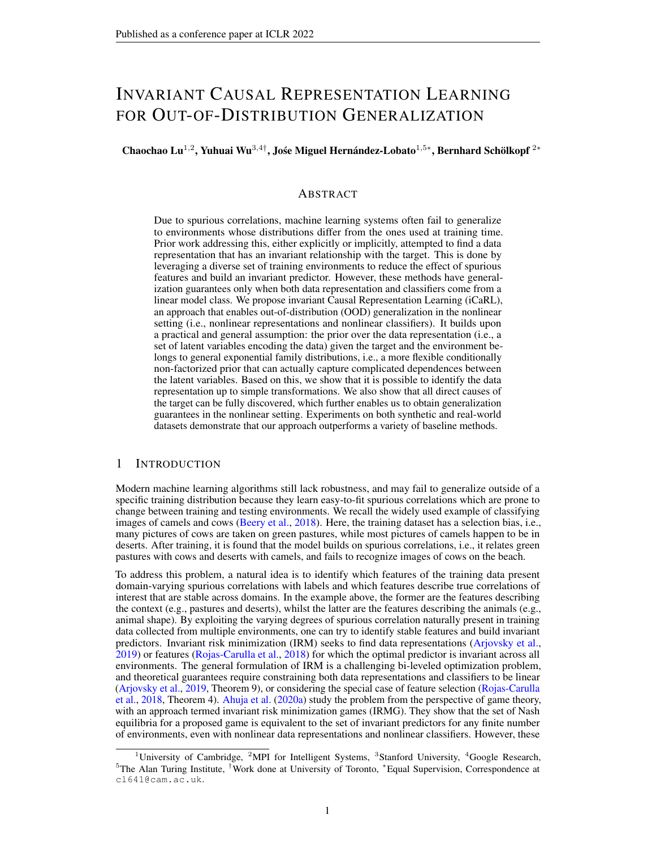theoretical results in the nonlinear setting only guarantee that one can learn invariant predictors from training environments, but do not guarantee that the learned invariant predictors can generalize well across all environments including unseen testing environments.

We propose invariant Causal Representation Learning (iCaRL), a novel approach that enables outof-distribution (OOD) generalization in the nonlinear setting (i.e., nonlinear representations and nonlinear classifiers<sup>1</sup>). We achieve this by extending and using methods from representation learning and graphical causal discovery. In more detail, we first introduce our main *general assumption*: when conditioning on the target (e.g., labels) and the environment (represented as an index), the prior over the data representation (i.e., a set of latent variables encoding the data) belongs to a *general exponential family*. Unlike the conditionally factorized prior assumed in recent identifiable variational autoencoders (iVAE) (Khemakhem et al., 2020a), this is a more flexible conditionally non-factorized prior, which can actually capture complicated dependences between the latent variables. We then extend iVAE to the case in which the latent variable prior belongs to such a *general exponential family*. The combination of this result and the previous general assumption allows us to guarantee that the data representation can be identified up to simple transformations. We then show that the direct causes of the target can be fully discovered by analyzing all possible graphs in a structural equation model setting. Once they are discovered, the challenging bi-leveled optimization problem in IRM and IRMG can be reduced to two simpler independent optimization problems, that is, learning the data representation and learning the optimal classifier can be performed separately. This leads to a practical algorithm and enables us to obtain generalization guarantees in the nonlinear setting.

Overall, we make a number of key contributions: (1) We propose a general framework for out-ofdistribution generalization in the nonlinear setting with the theoretical guarantees on both identifiability and generalizability; (2) We propose a general assumption on the underlying causal diagram for prediction (Assumption 1 and Fig. 1c), which covers many real-world scenarios (Section 3.2); (3) We propose a general assumption on the prior over the latent variables (Assumption 2), i.e., a more flexible conditionally non-factorized prior; (4) We prove that an extended iVAE with this conditionally non-factorized prior is also identifiable (Theorems 1,  $2\&3$ ); (5) We prove that our framework has the theoretical guarantees for OOD generalization in the nonlinear setting (Proposition 1).

#### 2 PRELIMINARIES

#### 2.1 IDENTIFIABLE VARIATIONAL AUTOENCODERS

Variational autoencoders (VAEs, see Appendix B) (Kingma & Welling, 2013; Rezende et al., 2014) lack identifiability guarantees. Consider a VAE model where  $X \nightharpoonup^{\mathcal{D}} \mathbb{R}^d$  stands for the observed variables (data) and  $\bar{Z}$  2 R<sup>n</sup> for the latent variables. Khemakhem et al. (2020a) show that a VAE with an unconditional prior distribution  $p(Z)$  over the latent variables is unidentifiable. However, they also show that it is possible to obtain an identifiable model if one posits a conditionally factorized prior distribution over the latent variables,  $p \ (Z/U)$ , where  $U^{\frac{1}{2}} \mathbb{R}^m$  is an additional observed variable (Hyvärinen et al., 2019). Specifically, let  $= (\mathbf{f}, \mathbf{T})/2$  be the parameters of the conditional generative model

$$
p(X; Z/U) = p_f(X/Z)p_{T, (Z/U)};
$$
 (1)

where  $p_f(X/Z) = p(X - f(Z))$  in which is an independent noise variable with probability density function  $p(\cdot)$ . Importantly, the prior  $p_{\tau}$ ,  $(Z/U)$  is assumed to be conditionally factorial, where each element of  $Z_i \, 2 \, Z$  has a univariate exponential family distribution given U. The conditioning on U is through an arbitrary function  $(U)$  (e.g., a neural net) that outputs the individual exponential family parameters  $\chi_i(U)$  for each  $Z_i$ . The prior probability density thus takes the form

$$
p_{\mathcal{T},i}(\boldsymbol{Z}/\boldsymbol{U})=\begin{bmatrix}1 & 0_i(Z_i)=C_i(\boldsymbol{U})\exp\begin{bmatrix}1 & \lambda & k \\ & 0 & i \end{bmatrix}T_{i,j}(Z_i) & i,j(\boldsymbol{U})\end{bmatrix};\tag{2}
$$

where  $Q_i$  is the base measure,  $Z_i$  the *i*-th dimension of  $Z$ ,  $C_i(U)$  the normalizing constant,  $T_i =$  $(T_{i,1}; \ldots; T_{i,k})$  the sufficient statistics,  $i(U) = (T_{i,1}(U); \ldots, T_{i,k}(U))$  the corresponding natural parameters depending on  $U$ , and  $k$  the dimension of each sufficient statistic that is fixed in advance. It is worth noting that this prior is restrictive as it is factorial and therefore cannot capture dependencies. As in VAEs, the model parameters are estimated by maximizing the corresponding evidence lower bound (ELBO),

 $L_{\text{iVAE}}($  ;  $) := E_{p_D} E_{q(Z|X,U)} [\log p_f(X/Z) + \log p_T, (Z/U) \log q(Z/X; U)]$  ; (3)

<sup>&</sup>lt;sup>1</sup>In fact, we are not restricted to the classification case and allow the target to be either continuous or categorical, which will be formally defined in Section 2.2.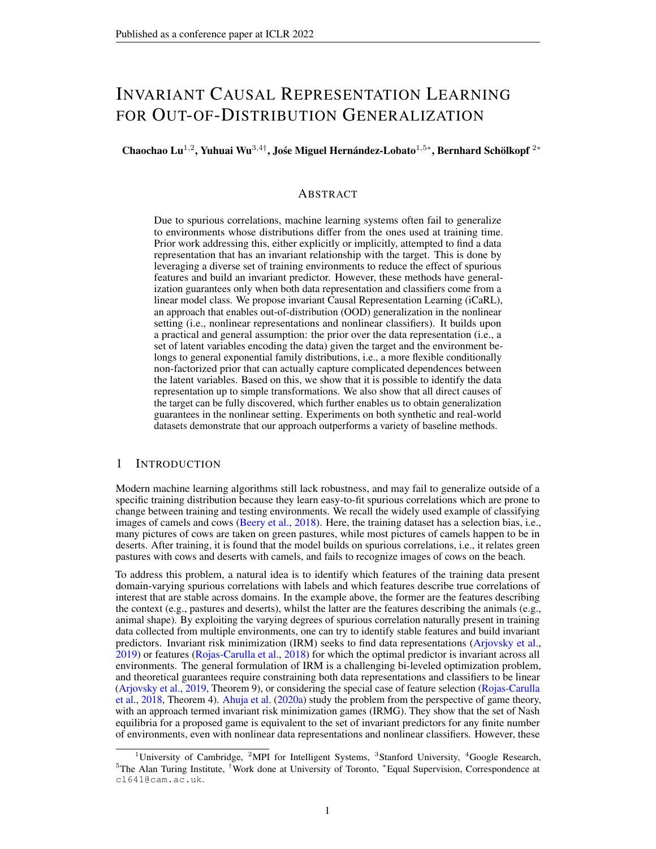where we denote by  $p_D$  the empirical data distribution given by the dataset  $D =$  $\boldsymbol{X}^{(i)}$  ;  $\boldsymbol{U}^{(i)}$   $\quad \frac{N}{N}$  $i=1$ and  $q \ (Z/X, U)$  denotes an approximate conditional distribution for Z given by a recognition network with parameters . This approach is called identifiable VAE (iVAE). Most importantly, it can be proved that under the conditions stated in Theorem 2 of Khemakhem et al. (2020a), iVAE can identify the latent variables  $Z$  up to a permutation and a simple componentwise transformation, see Appendix F.

#### 2.2 INVARIANT RISK MINIMIZATION

Arjovsky et al. (2019) introduced invariant risk minimization (IRM), whose goal is to construct an *invariant predictor*  $f$  that performs well across all environments  $E_{all}$  by exploiting data collected from multiple environments  $E_{tr}$ , where  $E_{tr}$   $E_{all}$ . Technically, they consider datasets  $D_e$ :  $f(\mathbf{x}_i^e, \mathbf{y}_i^e) g_{i=1}^{\hat{n}_e}$  from multiple training environments  $e \geq E_{tr}$ , where  $\mathbf{x}_i^e \geq X$   $\infty$   $\mathbb{R}^d$  is the input observation and its corresponding label is  $y_i^e \nightharpoonup Y \quad \mathbb{R}^s$ . The dataset  $D_e$ , collected from environment e, consists of examples identically and independently distributed according to some probability distribution  $P(X^e, Y^e)$ . The goal of IRM is to use these multiple datasets to learn a predictor  $Y = f(X)$  that performs well for all the environments. Here we define the risk reached by f in environment  $e$  as  $R^e(f) = \mathbb{E}_{X^e, Y^e} [\hat{f}(X^e), Y^e]$ , where  $\hat{f}$  is a loss function. Then, the invariant predictor can be formally defined as follows:

Definition 1 (Invariant Predictor (Arjovsky et al., 2019)). *We say that a data representation* 2 H<sub>Φ</sub> : X ! F elicits an invariant predictor w across environments E if there is a classifier w 2 H<sub>w</sub> : F ! Y simultaneously optimal for all environments, that is, w 2 arg min<sub>w∈Hw</sub> R<sup>e</sup>(w )  $w \, 2 \, H_w : F \,$  ! Y simultaneously optimal for all environments, that is, w 2 arg min $_{\bar{w} \in \mathcal{H}_w} R^e(w)$ *for all* e 2 E*, where means function composition.*

Mathematically, IRM can be phrased as the following constrained optimization problem:

$$
\min_{\Phi \in \mathcal{H}, w \in \mathcal{H}_W} \left[ \mathcal{E}(w) - \text{ s.t. } w \, 2 \arg \min_{\bar{w} \in \mathcal{H}_W} R^e(w) \right] \text{ s.t. } w \, 2 \arg \min_{\bar{w} \in \mathcal{H}_W} R^e(w) \text{ s.t. } (4)
$$

Since this is a generally infeasible bi-leveled optimization problem, Arjovsky et al. (2019) rephrased it as a tractable penalized optimization problem by transfering the inner optimization routine to a penalty term. The main generalization result (Theorem 9 in Arjovsky et al. (2019)) states that if both

and *W* come from the class of linear models (i.e.,  $H_{\Phi} = \mathbb{R}^{n \times n}$  and  $H_w = \mathbb{R}^{n \times 1}$ ), under certain conditions on the diversity of training environments (Assumption 8 in Arjovsky et al. (2019)) and the data generation, the invariant predictor  $w$  obtained by solving Eq. (4) remains invariant in  $E_{all}$ .

#### 3 PROBLEM SETUP

#### 3.1 A MOTIVATING EXAMPLE

In this section, we extend the example which was introduced by Wright (1921) and discussed by Arjovsky et al. (2019), and provide a further in-depth analysis.

Model 1. *Consider a structural equation model (SEM) with a discrete environment variable* E *that modulates the noises in the structural assignments connecting the other variables (cf. Fig. 1a below):*  $Z_1$  *Gaussian*(0; <sub>1</sub>(*E*));  $Y$   $Z_1$  + *Gaussian*(0; <sub>2</sub>(*E*));  $Z_2$   $Y$  + *Gaussian*(0; <sub>3</sub>(*E*)); *where Gaussian*(0; ) *denotes a Gaussian random variable with zero mean and standard deviation , and*  $_1$ ; :::;  $_3$  *are functions of the value e 2*  $E_{all}$  *taken by the environment variable E.* 

To ease exposition, here we consider the simple scenario in which  $E_{all}$  only contains all modifications varying the noises of  $Z_1$ ,  $Z_2$  and Y within a finite range, i.e.,  $_i(e) \n\supseteq [0, \frac{2}{\text{max}}]$ . Then, to predict Y from  $(Z_1, Z_2)$  using a least-square predictor  $\hat{Y}^e = \hat{Z}_1 Z_1^e + \hat{Z}_2 Z_2^e$  for environment  $e$ , we can

- Case 1: regress from  $Z_1^e$ , to obtain  $\lambda_1 = 1$  and  $\lambda_2 = 0$ ,
- Case 2: regress from  $Z_2^e$ , to obtain  $\gamma_1 = 0$  and  $\gamma_2 = \frac{\sigma_1(e) + \sigma_2(e)}{\sigma_1(e) + \sigma_2(e) + \sigma_2(e)}$  $\frac{\sigma_1(e)+\sigma_2(e)}{\sigma_1(e)+\sigma_2(e)+\sigma_3(e)},$
- Case 3: regress from  $(Z_1^e; Z_2^e)$ , to obtain  $\lambda_1 = \frac{\sigma_3(e)}{\sigma_2(e) + \sigma_2}$  $\frac{\sigma_3(e)}{\sigma_2(e)+\sigma_3(e)}$  and  $\gamma_2 = \frac{\sigma_2(e)}{\sigma_2(e)+\sigma_3(e)}$  $\frac{\sigma_2(e)}{\sigma_2(e)+\sigma_3(e)}$ .

In the generic scenario (i.e.,  $_1(e) \neq 0$ ,  $_2(e) \neq 0$ , and  $_3(e) \neq 0$ ), the regression using  $Z_1$  in Case 1 is an invariant correlation: it is the only regression whose coefficients do not vary with e. By contrast,

 $2<sup>2</sup>$ The setup applies to both continuous and categorical data. If any observation or label is categorical, we could one-hot encode it.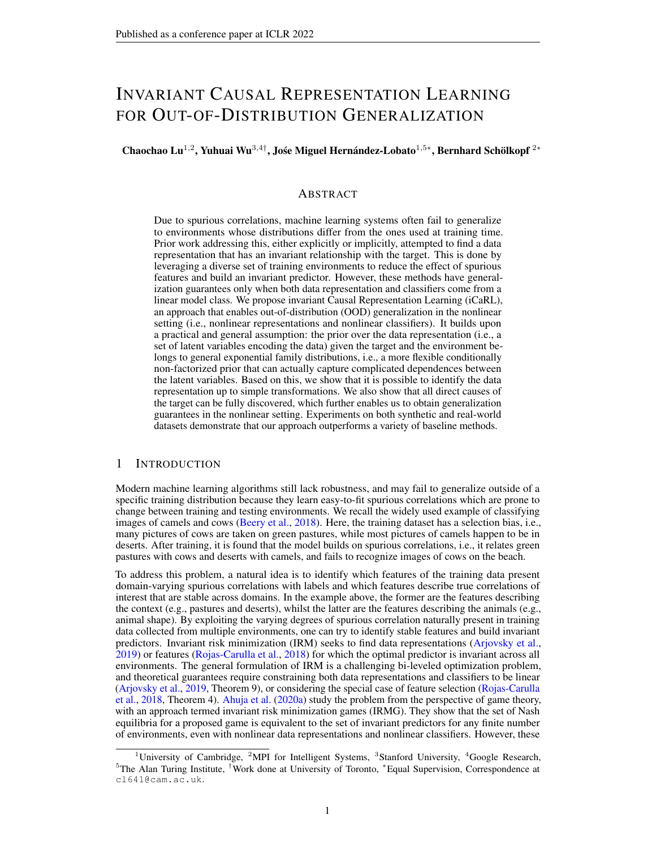

Figure 1: (a) Causal structure of Model 1. (b) A more practical extension of Model 1, where  $Z_1$  and  $Z_2$  are not directly observed and  $X$  is their observation. (c) A general version of (b), where we assume there exist multiple unobserved variables. Each of them could be either a parent, a child of  $Y$ , or has no direct connection with  $Y$ . We allow for arbitrary connections between the latent variables (red dashed lines) as long as the resulting causal diagram including  $Y$  is a directed acyclic graph (DAG). Grey nodes denote observed variables and white nodes represent unobserved variables. Dashed lines denote the edges which might vary across environments and even be absent in some scenarios, whilst solid lines indicate that they are invariant across all the environments.

the regressions in both Case 2 and Case 3 have coefficients that depend on e. Therefore, only the invariant correlation in Case 1 will generalize well to new test environments.

Another way to understand Model 1 is through its graphical representation<sup>3</sup>, as shown in Fig. 1a. We treat the environment as a random variable  $E$ , where  $E$  could be any information specific to the environment (Storkey, 2009; Peters et al., 2015; Zhang et al., 2017; Huang et al., 2020). Unless stated otherwise, for simplicity, we let E be the environment index, i.e.,  $E \supseteq \bigcap$ ;::; Ng, where  $N$  is the number of training environments. A more realistic version appearing in many settings is shown in Fig. 1b, where the true variables  $fZ_1$ ;  $Z_2g$  are unobserved and we can only observe their transformation  $X$ . In this case, Invariant Causal Prediction (ICP) (Peters et al., 2015) will fail when applied to X, even when Y is not affected by E (i.e., the edge E ! Y is removed). The reason is that each variable (i.e., each dimension) of X is jointly influenced by both  $Z_1$  and  $Z_2$  so that ICP is unable to find the variables containing the information only about  $Z_1$  by searching for a subset of variables  $X$ . By contrast, both IRM and IRMG work, as long as the transformation is linear. These findings are also empirically illustrated in Appendix  $K.1$ . We now go even further and consider a more general causal graph in which  $Y$  can have more than one parent or child.

#### 3.2 ASSUMPTIONS ON THE CAUSAL GRAPH

We extend the causal graph in Fig. 1b to a more general setting<sup>4</sup>, as encapsulated in Fig. 1c. In particular, we now have  $X \times Z \times R^d$ ,  $Y \times Z \times R^s$ ,  $Z = (Z_{p_1}; \ldots; Z_{p_r}; Z_{c_1}; \ldots; Z_{c_k}) \times Z$  $Z \qquad \mathbb{R}^n$ , where  $n = r + k$ , and  $fZ_i g_{i \in I_p = \{p_1, ..., p_r\}}$  and  $fZ_j g_{j \in I_c = \{c_1, ..., c_k\}}$  are multiple scalar *causal factors* and *non-causal factors*<sup>5</sup> of Y, respectively. We denote  $Z_p = (Z_{p_1}; \dots; Z_{p_r})$  and Causal factors and *flori-causal factors* of *f*, respectively. We denote  $\mathbb{Z}_p = (\mathbb{Z}_{p_1}, \dots, \mathbb{Z}_{p_r})$  and  $\mathbb{Z}_c = (\mathbb{Z}_{c_1}; \dots; \mathbb{Z}_{c_K})$  for the ease of clarification. We also assume that  $\mathbb{Z}$  is of lower dim  $X$ , that is, n d. We allow for arbitrary connections between the latent variables Z as long as the resulting causal diagram including  $Y$  is a directed acyclic graph (DAG). We use dashed lines to indicate the *causal mechanisms* which might vary across environments and even be absent in some scenarios, whilst solid lines indicate that they are invariant across all the environments. To sum up, we assume that the underlying causal graph encapsulated in Fig. 1c satisfies the following assumption<sup>6</sup>:

Assumption 1. *(a)* Z<sup>i</sup> *depends on one or both of* Y *and* E *for any* i*; (b) The causal graph containing*  $Z$  and  $\hat{Y}$  *is a DAG; (c)*  $X \gg Y$ ;  $E/Z$ , implying that  $p(X/Z)$  *is invariant across all the environments; (d)*  $Y \ncong E/Z_p$ , implying that  $p(Y|Z_p)$  is invariant across all the environments.

One may be wondering how practical Assumption  $1$  is in real world applications. Let us explore this in more detail. Assumption 1a rules out all the useless  $Z_i$  in the task of predicting Y. This is because if Assumption 1a is violated, meaning that  $Z_i$  is independent of Y and E and has no influence in predicting Y, then such  $Z_i$  should be viewed as noise and thus eliminated during learning. Assumption 1b is a common assumption in causal discovery (Spirtes et al., 2000; Pearl, 2009; Peters et al., 2015). It also makes sense in Assumption 1c that the generative mechanism  $p(X|Z)$  is

 $3$ The relation between SEM and its graphical representation is formally defined in Appendix  $D$ .

<sup>4</sup> For simplicity, we do not explicitly consider unobserved confounders in this paper. In particular, we assume that there are no unobserved confounders between  $Z/Y/X$ , and  $E$ .

<sup>&</sup>lt;sup>5</sup>This means that  $Z_{j\in I_c}$  could be either an effect of Y, independent of Y, or spuriously correlated with Y via a third set of confounders (i.e., both  $Z_j$  and Y are affected by a subset of  $fZ_i\tilde{g_i}\neq j$  and  $\tilde{E}$ ).

<sup>&</sup>lt;sup>6</sup>For generality, we replace E with  $E$  to additionally include the case of multi-dimensional variables.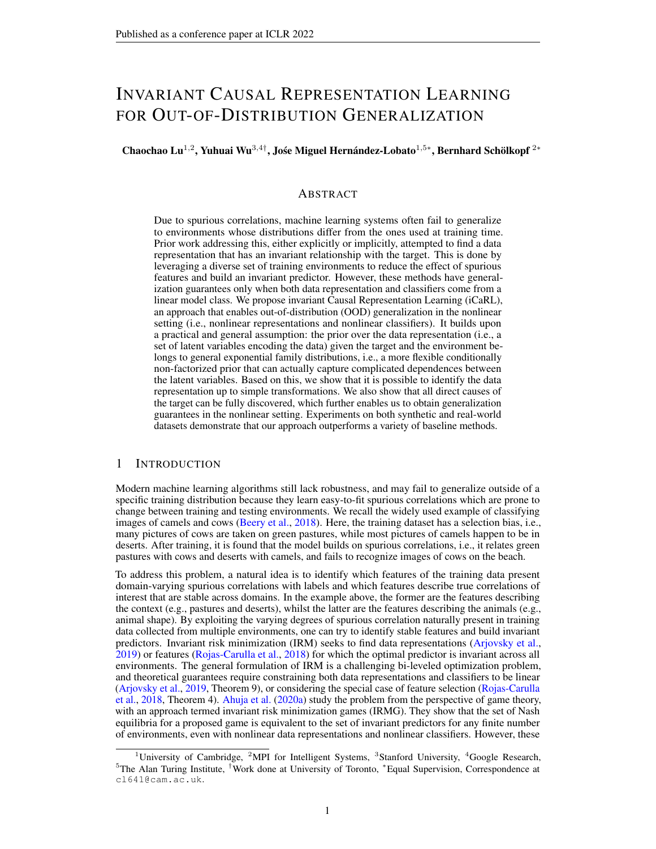#### Algorithm 1: Invariant Causal Representation Learning (iCaRL)

Phase 1: We first learn a NF-iVAE model, including the decoder and its corresponding encoder, by optimizing the objective function in (10) on the data  $fX$ ;  $Y$ ; Eq. Then, we use the mean of the NF-iVAE encoder to infer the latent variables Z from observations  $fX$ ;  $\overline{Y}$ ;  $\overline{E}g$ . The latent variables are guaranteed to be identified up to a permutation and simple transformation.

Phase 2: After inferring Z, we first conduct the PC algorithm to learn a Markov equivalence class of DAGs, and then discover direct causes (parents) of  $Y$  among its neighbors by testing all pairs of latent variables with (conditional) independence testing, i.e., finding a set of latent variables in which each pair of  $Z_i$  and  $Z_j$  satisfies that the dependency between them increases after additionally conditioning on Y.

**Phase 3:** Having obtained Pa( $Y$ ), we can solve (11) to learn the invariant classifier w. When in a new environment, we first infer Pa( $\hat{Y}$ ) from  $X$  by solving (12) and then leverage the learned *W* for prediction.

invariant across all the environments. Otherwise, it is impossible to infer  $Z$  from  $X$  in any unseen environment. Assumption 1d is a widely-used default assumption in OOD generalization (Peters et al., 2015; Arjovsky et al., 2019). In fact, Assumption 1d can be further relaxed to the more practical one that  $E[Y/Z_p]$  is invariant across all the environments. That is, given  $Z_p$ , we allow E to only affect the amount of noise in the distribution of  $Y$ , because that would not change the expected value of Y since the mean of the noise would be zero. Apparently, Assumption 1, together with the causal graph in Fig. 1c, covers most scenarios (e.g., the ones of Zhang et al. (2013); von Kügelgen et al. (2020); Sun et al. (2020); Ahuja et al. (2021); von Kügelgen et al. (2021)) and is a very flexible model for causal analysis when predicting  $Y$  from  $X$ .

#### 3.3 ASSUMPTIONS ON THE PRIOR

When the underlying causal graph satisfies Assumption 1, our primary assumption leading to identifiability in this general setting is that the conditional prior  $p(Z/Y, E)$  belongs to a general exponential family. This is formalized as follows:

Assumption 2. p(ZjY ; E) *belongs to a general exponential family with parameter vector given by an arbitrary function*  $(Y, E)$  *and sufficient statistics*  $T(Z) = [T_f(Z)^T, T_{NN}(Z)^T]^T$  *given by* the concatenation of a) the sufficient statistics  $T_f(\bm{Z})=[\,I_1(Z_1)^T\,;\;\;\;\;\;;T_n(Z_n)^T]^T$  of a factorized  $e$ xponential family, where all the  $T_i(Z_i)$  have dimension larger or equal to 2, and b) the output  $T_{NN}(\mathbf{Z})$  of a neural network with ReLU activations. The resulting density function is thus given by

 $p_{T, z}(Z/Y; E) = Q(Z) = C(Y; E) \exp [T(Z)^T (Y; E)]$ ; (5) *where* Q *is the base measure and* C *the normalizing constant.*

A neural network with ReLU activation has universal approximation power. Therefore, the term  $T_{NN}(Z)$  in the above prior distribution will allow us to capture arbitrary dependencies between the latent variables. The distribution in Eq. (5) is more flexible than the conditionally factorized prior assumed by iVAEs. However, surprisingly, the identifiability results of iVAEs also hold when using the more flexible prior in Eq.  $(5)$ , as we will show in Section 4.1. This motivates using an extended iVAE model with the above prior to model data generated by the ground truth model in Fig. 1c. However, in this case, the data generating model and the learned model might have different priors. For example, in the ground truth model, the prior for each  $Z_{i\in I_p}$  might be  $p(Z_i/E)$ , when  $Z_i$  is only caused by E. By contrast, in the extended iVAE model the prior is  $p(Z/Y, E)$ . Is this going to affect the identifiability of the latent variables? Well, in practice not because the posterior distribution for  $Z$ given  $X$ , Y and E would be equivalent in both models (up to identifiability guarantees).

#### 4 INVARIANT CAUSAL REPRESENTATION LEARNING

We now introduce our algorithm, invariant Causal Representation Learning (iCaRL), which consists of 3 phases as summarized in Algorithm 1. The idea is that we first identify  $Z$  by using an extended iVAE model under Assumptions  $1\&2$  (Phase 1), then discover direct causes of Y among the identified  $Z$  (Phase 2), and finally learn an invariant predictor for Y from the discovered causes (Phase 3).

#### 4.1 PHASE 1: IDENTIFYING LATENT VARIABLES USING NF-IVAE

In this section, we describe our identifiable model, namely NF-iVAE, which is an extended iVAE with a general non-factorized prior that is able to capture complex dependences between the latent variables. Technically, in the general setting under Assumption 1, it is straightforward to obtain a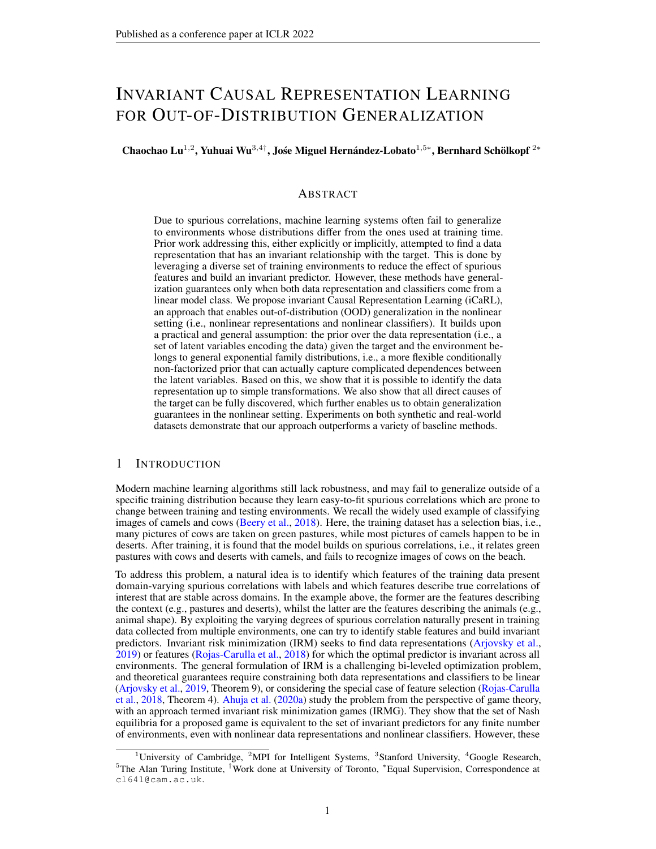corresponding generative model by directly substituting U with  $(Y, E)$  in Eq. (1):

$$
p(X;Z/Y;E) = p_f(X/Z)p_{T,}(Z/Y;E); \qquad (6)
$$

$$
p_f(X/Z) = p(X - f(Z))
$$
 (7)

The corresponding ELBO is

 $L_{\text{phase1}}^{\text{ELBO}}($  ; ):= $E_{p_D}$   $E_q$  ( $z|X;Y;E$ ) [log  $p_f(X/Z)$  + log  $p_f$ ; (ZjY;E) log q (ZjX;Y;E)] : (8)

To obtain an identifiability result, we assume that the prior  $p<sub>T</sub>$ ,  $(Z/Y; E)$  satisfies Assumption 2 (i.e., Eq. (5)). Since the prior is a general multivariate exponential family distribution with unknown normalization constant, we cannot learn its parameters  $(T_i)$  by directly maximizing Eq. (8). Instead, we use score matching, a well-known method for training unnormalized probabilistic models (Hyvärinen, 2005; Vincent, 2011), and learn  $(\mathcal{T}, \cdot)$  by minimizing

$$
L_{\text{phase1}}^{\text{SM}}(\boldsymbol{\mathcal{T}}; \ ) := E_{\rho_D} E_q (\mathbf{z} | \mathbf{x}, \mathbf{y}, \mathbf{\epsilon}) \ j \text{if} \ \mathbf{z} \log q (\mathbf{Z} / \mathbf{X}, \mathbf{Y}, \mathbf{\epsilon}) \quad \text{if} \ \mathbf{z} \log \rho_{\mathbf{T}} (\mathbf{Z} / \mathbf{Y}, \mathbf{\epsilon}) \text{if} \ \mathbf{z} \text{if} \ \mathbf{z} \text{if} \ \mathbf{z} \text{if} \ \mathbf{z} \text{if} \ \mathbf{z} \text{if} \ \mathbf{z} \text{if} \ \mathbf{z} \text{if} \ \mathbf{z} \text{if} \ \mathbf{z} \text{if} \ \mathbf{z} \text{if} \ \mathbf{z} \text{if} \ \mathbf{z} \text{if} \ \mathbf{z} \text{if} \ \mathbf{z} \text{if} \ \mathbf{z} \text{if} \ \mathbf{z} \text{if} \ \mathbf{z} \text{if} \ \mathbf{z} \text{if} \ \mathbf{z} \text{if} \ \mathbf{z} \text{if} \ \mathbf{z} \text{if} \ \mathbf{z} \text{if} \ \mathbf{z} \text{if} \ \mathbf{z} \text{if} \ \mathbf{z} \text{if} \ \mathbf{z} \text{if} \ \mathbf{z} \text{if} \ \mathbf{z} \text{if} \ \mathbf{z} \text{if} \ \mathbf{z} \text{if} \ \mathbf{z} \text{if} \ \mathbf{z} \text{if} \ \mathbf{z} \text{if} \ \mathbf{z} \text{if} \ \mathbf{z} \text{if} \ \mathbf{z} \text{if} \ \mathbf{z} \text{if} \ \mathbf{z} \text{if} \ \mathbf{z} \text{if} \ \mathbf{z} \text{if} \ \mathbf{z} \text{if} \ \mathbf{z} \text{if} \ \mathbf{z} \text{if} \ \mathbf{z} \text{if} \ \mathbf{z} \text{if} \ \mathbf{z} \text{if} \ \mathbf{z} \text{if} \ \mathbf{z} \text{if} \ \mathbf{z} \text{if} \ \mathbf{z} \text{if} \ \mathbf{z} \text{if
$$

In practice, we can use a simple trick of partial integration to simplify the evaluation of Eq. (9), see Appendix C. Furthermore, we can jointly learn  $( ; )$  by combining Eq. (8) and Eq. (9) in the following objective:

$$
L_{\text{phase1}}(t; \tau) = L_{\text{phase1}}^{\text{ELBO}}(\mathbf{f}; \hat{\mathbf{T}})^{A}(t; \tau) - L_{\text{phase1}}^{\text{SM}}(\hat{\mathbf{f}}; \mathbf{T}^{\tau}_{\tau}(\tau))
$$
(10)

where  $\hat{f}$ ;  $\hat{T}$ ;  $\hat{i}$  are copies of  $f$ ;  $T$ ; ; that are treated as constants and whose gradient is not calculated during learning. More details can be found in Appendix M.

#### We now state our main theoretical results:

Theorem 1. *Assume that we observe data sampled from a generative model defined according to Eqs.*  $(5-7)$ *, with parameters*  $:= (\mathbf{f}, \mathbf{T})$ *, where*  $p_{\mathcal{T}, \mathbf{f}}$   $(\mathbf{Z}/\mathbf{Y}, \mathbf{E})$  *satisfies Assumption 2. Furthermore, assume the following holds: (i) The set*  $fX$   $2'Of'$   $(X) = 0g$  *has measure zero, where* ' *is the characteristic function of the density* p *defined in Eq. (7). (ii) Function* f *in Eq. (7) is injective, and has all second-order cross derivatives. (iii) The sufficient statistics in*  $T_f$  *are all twice differentiable. (iv) There exist* k + 1 *distinct points* (Y ; E) 0 ; : : : ;(Y ; E) k *such that the matrix*  $L =$   $((Y/E)^1)$   $((Y/E)^0)$ ;;;;;;  $((Y/E)^k)$   $((Y/E)^0)$  of size k k is invertible, where k *is the dimension of* T *. Then the parameters are identifiable up to a permutation and a* "simple transformation" *of the latent variables* Z*, defined as a componentwise nonlinearity making each recovered*  $T_i(Z_i)$  *in*  $T_f(Z)$  *equal to the original up to a linear operation.* 

Note that, this theorem is inspired by but beyond the main results of iVAEs in that the former is predicated on Assumption 2 which is more flexible than the conditionally factorized prior assumed in iVAEs. It results in several key changes in the proof, clarified in Appendix H. Interestingly, from (iv) we can further see that E is unnecessary when there exist  $k + 1$  distinct points  $Y^0$ ; :::;  $Y^k$  such that the matrix  $L = (Y^1)$  $(Y^0)$ ;:::;  $(Y^k)$   $(Y^0)$  of size k k is invertible. Not requiring E would make our approach even more applicable.

We further have the following consistency result for the estimation.

**Theorem 2.** Assume that the following holds: (i) The family of distributions  $q$  ( $Z/X; Y; E$ ) con*tains*  $p$  ( $Z/X$ ;  $Y$ ;  $E$ ), and  $q$  ( $Z/X$ ;  $Y$ ;  $E$ ) > 0 *everywhere. (ii)* We maximize  $L_{phase1}($ ; ) with *respect to both and . Then in the limit of infinite data, we learn the true parameters* <sup>∗</sup> *up to a permutation and simple transformation of the latent variables* Z*.*

As a consequence of Theorems  $1&2$ , we have:

Theorem 3. *Assume the hypotheses of Theorem 1 and Theorem 2 hold, then in the limit of infinite data, we identify the true latent variables* Z<sup>∗</sup> *up to a permutation and simple transformation.*

Theorem 3 states that we can use NF-iVAE to infer the true  $Z^*$  up to a permutation and simple transformation. We use the mean of  $q \ (Z/X; Y; E)$  for this task. Note that the noise may introduce uncertainty in the estimation of  $Z$ . However, when  $X$  is high dimensional and  $Z$  is low dimensional (as common in real world applications),  $q(Z/X, Y, E)$  will be highly concentrated and we will still be able to estimate  $Z$  with high accuracy. The good results obtained by our method in various experiments seem to corroborate this. All three theorems are proven in Appendix H.

4.2 PHASE 2: DISCOVERING DIRECT CAUSES

After estimating  $Z$  for each data point, the next step is to determine which components of  $Z$  are direct causes of Y. We denote these components by  $Pa(Y)$ . We first conduct the PC algorithm (Spirtes et al., 2000) to learn a Markov equivalence class of DAGs, which gives us the direct neighbors of  $Y$ ,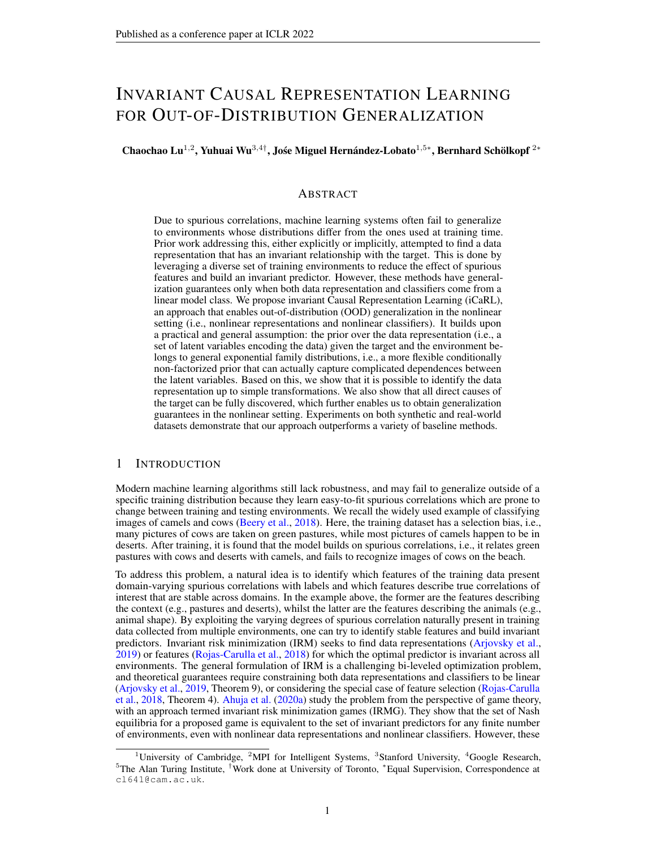denoted by  $Ne(Y)$ . Then, from Assumption 1, one observation is that in the generic case, for any two latent variables  $Z_i$  and  $Z_j$  from Ne(Y), only when both are causes of Y do we have that the dependency between them increases after additionally conditioning on  $Y$ . Thus, when there exist at least two causal latent variables in  $Ne(Y)$ , we can test all pairs of latent variables<sup>7</sup> with conditional independence testing<sup>8</sup> (Zhang et al., 2012) to discover Pa(Y) by comparing  $p$ -values from the two tests: IndTest $(Z_i; Z_j / \! E)$  and IndTest $(Z_i; Z_j / \! Y; E)$ , where IndTest denotes (conditional) independence test. Conversely, if no such a pair is found, it implies that there is at most one causal latent variable. This is a highly unlikely case in real world applications, which is left to Appendix G.

#### 4.3 PHASE 3: LEARNING AN INVARIANT PREDICTOR

After having obtained the causal latent variables  $Pa(Y)$  for Y across training environments, we can learn  $W$  by solving the following optimization problem:

$$
\min_{w \in \mathcal{H}_W} \left[ R^e(w) = \min_{w \in \mathcal{H}_W} \left[ E_{\text{Pa}(Y^e), Y^e} \left[ \left[ \left( \mathcal{W}(\text{Pa}(Y^e)) / Y^e \right) \right] \right] \right] \right] \tag{11}
$$

where  $i_1$  ( ) could be any loss. Since we assume that  $E(Y)Pa(Y)$  is invariant across  $E_{all}$  (the relaxed version of Assumption 1d), the learned *W* is guaranteed to perform well across  $E_{all}$ .

The remaining question is how to infer Pa(Y) (i.e.,  $Z_p$ ) from X in a new environment. This can be implemented by leveraging the learned  $p(X/Z)$ . The rationale behind is that  $p(X/Z)$  is assumed to be invariant across  $E_{all}$  (Assumption 1c). In light of this idea, we follow Sun et al. (2020) and infer  $Z_p$  from  $X$  in any new testing environment by solving the following optimization problem:

$$
\max_{Z_p, Z_c} \log p_{\mathcal{F}}(\mathbf{X}/Z_p; \mathbf{Z}_c) + \, \mathbf{1}/Z_p / \mathbf{1}_2^2 + \, \mathbf{2}/Z_c / \mathbf{1}_2^2; \tag{12}
$$

where the hyperparameters  $_1 > 0$  and  $_2 > 0$  control the learned  $Z_p$  and  $Z_c$  in a reasonable scale, and both are selected on training/validation data. For optimization, we follow Schott et al. (2018) to first use values of  $Z$  sampled from the training set as initial points and then use Adam to optimize for several iterations.<sup>9</sup> Note that the noise will introduce uncertainty in the estimation of  $Z_p$  and  $Z_c$ from  $X$ . However, as we mentioned before (below Theorem 3), this noise is not going to affect the estimation much because the likelihood will be highly concentrated around the ground truth values, as corroborated by our good empirical results.

A key question is if iCaRL performs well across  $E_{all}$  even though it uses only data from  $E_{tr}$ . That is, does iCaRL enable OOD generalization, as defined by Arjovsky et al. (2019)? The answer is positive since Theorem A.1 in Arjovsky (2021) indicates that i) any predictor  $w$  with optimal OOD generalization uses only  $Pa(Y)$  to compute and ii) the classifier w in this optimal predictor can be estimated using data from any environment  $e$  for which the distribution of Pa( $Y^e$ ) has full support, which will always be the case since the conditional prior in Eq. (5) has full support. Finally, Theorem A.1 in Arjovsky (2021) also indicates that iii) the optimal predictor will be invariant across  $E_{all}$ . Key to these results is that  $Pa(Y^e)$  are available when solving (12). This requires first to identify the latent variables  $Z$  from  $X$ ,  $Y$  and  $E$  and second, to discover the direct causes of  $Y$ . The hypotheses of Theorems 1 and 2 and Assumption 1 provide this guarantee. We therefore have the following result whose proof is in Appendix H.

Proposition 1. *Under Assumption 1 and the assumptions of Theorems 1 and 2, the predictor learned by iCaRL across*  $E_{tr}$  *in the limit of infinite data has optimal OOD generalization across*  $E_{all}$ .

#### 5 EXPERIMENTS

We compare our approach with a variety of methods on both synthetic and real-world datasets. In all comparisons, unless stated otherwise, we average performance over ten runs. Due to space constraints, we only highlight some key results while pointing to the extensive appendices for more information. The supplement contains all the details of the experiments, e.g., datasets (Appendix J), implementation (Appendix  $M$ ), hyperparameters and architectures (Appendix  $N$ ), etc.

#### 5.1 SYNTHETIC DATA

To verify the identifiability of NF-iVAE, we conduct a series of experiments on synthetic data generated according to the causal graph shown in Fig. 2e. Details of the ground truth data generating

We only need to consider those variables in  $Ne(Y)$  whose edges connecting to Y are not oriented by PC.

<sup>&</sup>lt;sup>8</sup>These conditional independence tests can be performed in parallel to largely accelerate the testing procedure. See more in Appendix G.

 $9$ Note that,  $(12)$  can be optimized either independently for each data point or for a number of data points.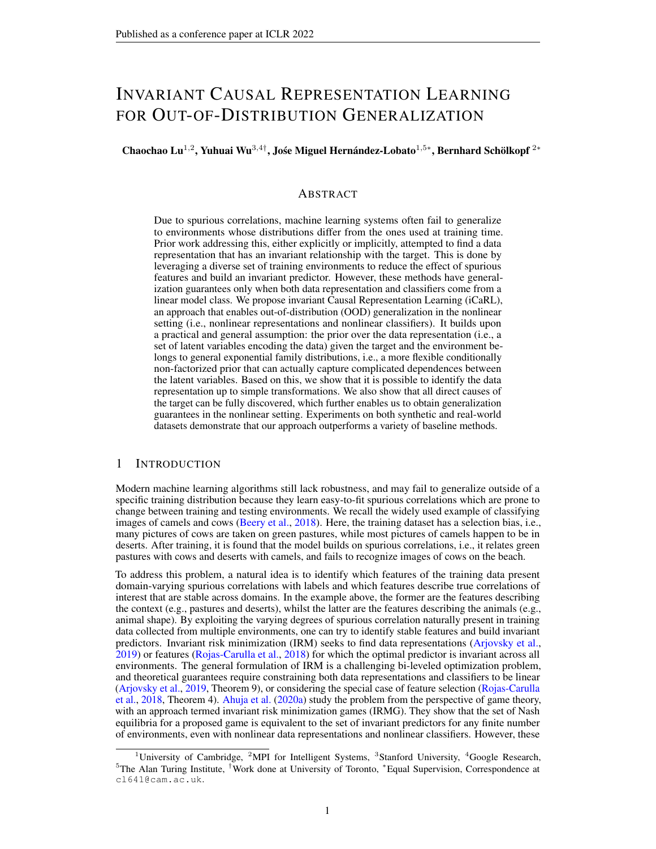

(e) Causal graph (f) MCC on synthetic data (g) MCC on CMNIST (h) Intervening CMNIST

Figure 2: (a-d) Visualization of the samples (i.e.,  $\hat{Z} = (\hat{Z}_1;\hat{Z}_2)$ ) in latent space recovered through different algorithms: (a) Samples from the true distribution; (b-c) Samples from the posterior inferred using VAE and iVAE, respectively. Apparently, our method (d) can recover the original data up to a permutation and a simple componentwise transformation. (e) The causal structure with  $Y$  having two causes describes the data generating process of the synthetic dataset. (f) Mean correlation coefficient (MCC) scores for VAE, iVAE, and NF-iVAE on synthetic data. (g) MCC scores for VAE, iVAE, and NF-iVAE on CMNIST. (h) The effects on the CMNIST images of digit 8 (top two rows) and digit 3 (bottom two rows) when intervening on a causal factor  $Z_{i\in I_p}$  and on a non-causal factor (effect)  $Z_{j \in I_c}$ , respectively.

process are given in Appendix K. The reason we choose this setting is that it is the simplest case satisfying our requirements: a) For ease of visualization, the latent space had better be 2-dimensional; b) To introduce the non-factorized prior given Y and E (i.e.,  $Z_i \overset{\sim}{\circ} Z_j/Y$ ; E), Y has at least two causes. We draw 1000 samples from each of the four environments  $\vec{E} = f0.2/2/3/5g$ , and thus the whole synthetic dataset consists of 4000 samples. The task is to recover the true latent variable  $\mathbf{Z} = (Z_1, Z_2)$  using the samples of  $\mathbf{X}, \mathbf{E}$ , and Y. We compare with two widely-used baselines: VAE (Kingma & Welling, 2013) (without identifiability guarantees) and iVAE (Khemakhem et al., 2020a) (with a conditionally factorized prior for identifiability). Through the aforementioned theoretical analysis, it is evident that our method has a more general assumption on the prior leading to identifiability. This is demonstrated empirically in Figs. 2b-2d. Our method NF-iVAE can recover the original data  $Z$  up to a permutation and a simple componentwise transformation, whereas all the other methods fail because they are unable to handle the non-factorized case in which  $Z_i \mathcal{B} Z_j/Y$  ; E. We also compute the mean correlation coefficient (MCC) used in Khemakhem et al. (2020a), which can be obtained by calculating the correlation coefficient between all pairs of true and recovered latent factors and then solving a linear sum assignment problem by assigning each recovered latent factor to the true latent factor with which it best correlates. By definition, higher MCC scores indicate stronger identifiability. From Fig.  $2f$ , we can see that the MCC score for NF-iVAE is significantly greater than those of VAE and iVAE, indicating much stronger identifiability. Note that, in Appendix K we additionally compare with more methods, whose differences are further summarized in a table.

#### 5.2 COLORED MNIST, COLORED FASHION MNIST, AND VLCS

In this section, we first report experiments on two datasets used in IRM and IRMG: Colored MNIST (CMNIST) and Colored Fashion MNIST (CFMNIST). We follow the same setting of Ahuja et al. (2020a) to create these two datasets (see the details in Appendix J). The task is to predict a binary label assigned to each image which is originally grayscale but artificially colored in a way that the color is correlated strongly but spuriously with the class label. For all the experiments on these two datasets, we set the number of the latent variables to  $n = 10$ .

Likewise, we investigate the identifiability of NF-iVAE on CMNIST by computing the MCC score between samples of the true latent variable and of the recovered latent variable. Since the true latent variable on CMNIST is inaccessible to us, we follow Khemakhem et al. (2020b) and compute an average MCC score between samples of latent variables recovered by different models trained with different random initialization. As shown in Fig.  $2g$ , it is evident that the MCC score for NF-iVAE greatly outperforms the others, showing that the latent variables recovered by NF-iVAE have much better identifiability.

Furthermore, we demonstrate the ability of iCaRL to discover the causal latent variables (Phase 2) by visualizing the generated images through performing intervention upon a causal latent variable and a non-causal latent variable, respectively. Fig. 2h shows how intervening upon each of them affects the image. Obviously, intervening on a causal latent variable affects the shape of the digit but not its color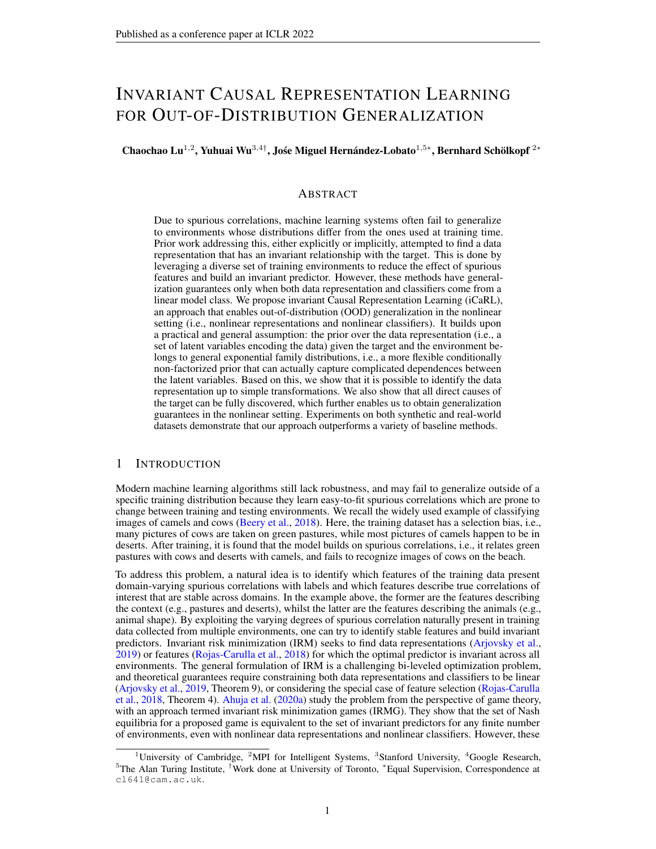| Table 1: Colored Fashion MNIST. Comparisons in Table 2: VLCS. Comparisons in terms of accuracy |                           |
|------------------------------------------------------------------------------------------------|---------------------------|
| terms of accuracy (%) (mean std deviation).                                                    | (%) (mean std deviation). |

| tornio or accuracy (70) (filed rold acvident). |              |      | $(70)$ $(1100)$ $(1100)$ |      |                                 |      |     |
|------------------------------------------------|--------------|------|--------------------------|------|---------------------------------|------|-----|
| <b>METHOD</b>                                  | <b>TRAIN</b> |      | TEST                     |      | <b>METHOD</b>                   | TEST |     |
| ERM                                            | 8317         | 1:01 | 2246                     | 0.68 | <b>ERM</b>                      | 77.4 | 0.3 |
| ERM 1                                          | 81:33        | 1:35 | 3334                     | 8:85 | <b>IRM</b>                      | 781  | 0:0 |
| ERM <sub>2</sub>                               | 8439         | 1:89 | 1316                     | 0:82 | DRO (Sagawa et al., 2019)       | 77.2 | 0:6 |
| ROBUST MIN MAX                                 | 8281         | 0:11 | 2922                     | 8:56 | Mixup (Yan et al., 2020)        | 77:7 | 0:4 |
| <b>F-IRM GAME</b>                              | 6231         | 2:35 | 6925                     | 5:82 | CORAL (Sun & Saenko, 2016) 77.7 |      | 0.5 |
| V-IRM GAME                                     | 6896         | 0:95 | 7019                     | 1:47 | MMD (Li et al., 2018b)          | 767  | 0:9 |
| IRM                                            | 7501         | 0:25 | 5525                     | 1242 | DANN (Ganin et al., 2016)       | 787  | 0:3 |
| iCaRL (ours)                                   | 74:96        | 0:37 | 73:61                    | 0:63 | C-DANN (Li et al., 2018c)       | 782  | 0:4 |
| <b>ERM GRAYSCALE</b>                           | 7479         | 0:37 | 7467                     | 0:48 | LaCIM (Sun et al., 2020)        | 784  | 0.5 |
| <b>OPTIMAL</b>                                 | 75           |      |                          | 75   | iCaRL (ours)                    | 81:8 | 0:6 |
|                                                |              |      |                          |      |                                 |      |     |

(top plots), whilst intervening on a non-causal latent variable, which is an effect in Fig. 2h, affects the color of the digit only (bottom plots). This visually veri es the results of iCaRL in Phase 2.

In terms of the OOD generalization performance, we compare iCaRL with 1) IRM, 2) two variants of IRMG: F-IRM Game (with - xed to the identity) and V-IRM Game (with a variable), 3) three variants of ERM: ERM (on entire training data), ERM (on each environment), and ERM GRAYSCALE (on data with no spurious correlations), and 4) ROBUST MIN MAZ (minimizing the maximum loss across the multiple environments). Table 1 shows that iCaRL outperforms all other baselines on CFMNIST. It is worth emphasising that the train and test accuracies of iCaRL closely approach the ones of ERM GRAYSCALE and OPTIMAL, implying that iCaRL approximately learns the true invariant causal representations with almost no correlation with the spurious color feature. We can draw similar conclusions from the results on CMNIST (Appendix L).

We also report the results on one of the widely used realistic datasets for OOD generalization: VLCS (Fang et al., 2013). This dataset consists @f729photographic images of dimensi@6; 224; 224) and5 classes from four domains: Caltech101, LabelMe, SUN09, and VOC2007. We used the exact experimental setting that is described in Gulrajani & Lopez-Paz (2020). We provide results averaged over all possible train and test environment combination for one of the commonly used hyper-parameter tuning procedure: train domain validation. As shown in Table 2, iCaRL achieves state-of-the-art performance when compared to those most popular domain generalization alternatives. We further include experimental evidence on another popular dataset: PACS (Li et al., 2017a), all the details of which are placed in Appendix L.

# 6 RELATED WORK

Invariant Causal Prediction (ICP), aims to nd theusal feature set i.e., all direct causes of a target variable of interest) (Peters et al., 2015) by exploiting the invariance property in causality which has been discussed under the term "autonomy", "modularity", and "stability" (Haavelmo, 1944; Aldrich, 1989; Hoover, 1990; Pearl, 2009; Dawid et al., 2010; Schölkopf et al., 2012). This invariance property assumed in ICP and its nonlinear extension (Heinze-Deml et al., 2018) is limited, because no intervention is allowed on the target variable esides, ICP methods implicitly assume that the variables of interext are given. The works of Magliacane et al. (2018) and Subbaswamy et al. (2019) attempt to nd invariant predictors that are maximally predictive using conditional independence tests and other graph-theoretic tools, both of which also assume *I*natehgiven and further assume that additional information about the structure over known. Mitrovic et al. (2020) analyze data augmentations in self-supervised learning from the perspective of invariant causal mechanisms. Arjovsky et al. (2019) reformulate this invariance as an optimization-based problem, allowing us to learn an invariant data representation from onstrained to be a linear transformation of Z . The risks of this approach have been discussed in Rosenfeld et al. (2020); Kamath et al. (2021); Nagarajan et al. (2020) and its sample complexity is analyzed in Ahuja et al. (2020b).

Another line of related work is in the eld of domain generalization, which we discuss in Appendix A.

# 7 CONCLUSION

We have proposed a novel framework to learn invariant predictors from a diverse set of training environments. It is based on a practical and general assumption: the prior over the data representation belongs to a general exponential family when conditioning on the target and the environment. This assumption leads to guarantees that the components in the representation can be identi ed up to a permutation and simple transformation. This allows us to discover all the direct causes of the target, which enables generalization guarantees in the nonlinear setting. We hope our framework will inspire new ways to address the OOD generalization problem through a causal lens.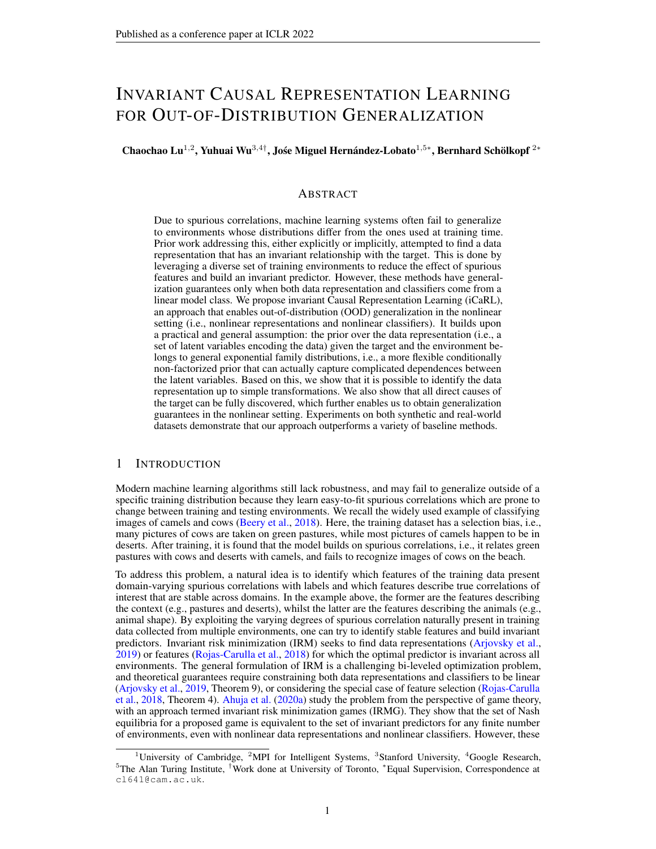### ACKNOWLEDGEMENTS

We are thankful to Wenlin Chen for contributing to Step III in the proof of Theorem 4 and for generalizing the proof in Theorem 5 to the case in which  $\overline{dq}(\mathbf{Z}_i)$  in  $T_f(Z)$  contains arbitrary suf cient statistics instead of ju $\bar{\mathbf{a}}_i$  andZ $_i^2$ . We also thank Ilyes Khemakhem, Aapo Hyvärinen, and Arthur Gretton for their helpful discussions, and the anonymous reviewers for their constructive comments on an earlier version of this paper.

### **REFERENCES**

- Martín Abadi, Ashish Agarwal, Paul Barham, Eugene Brevdo, Zhifeng Chen, Craig Citro, Greg S. Corrado, Andy Davis, Jeffrey Dean, Matthieu Devin, Sanjay Ghemawat, Ian Goodfellow, Andrew Harp, Geoffrey Irving, Michael Isard, Yangqing Jia, Rafal Jozefowicz, Lukasz Kaiser, Manjunath Kudlur, Josh Levenberg, Dandelion Mané, Rajat Monga, Sherry Moore, Derek Murray, Chris Olah, Mike Schuster, Jonathon Shlens, Benoit Steiner, Ilya Sutskever, Kunal Talwar, Paul Tucker, Vincent Vanhoucke, Vijay Vasudevan, Fernanda Viégas, Oriol Vinyals, Pete Warden, Martin Wattenberg, Martin Wicke, Yuan Yu, and Xiaoqiang Zheng. TensorFlow: Large-scale machine learning on heterogeneous systems, 2015. URttps://www.tensorflow.org/ . Software available from tensor ow.org.
- Kartik Ahuja, Karthikeyan Shanmugam, Kush Varshney, and Amit Dhurandhar. Invariant risk minimization gamesarXiv preprint arXiv:2002.0469,22020a.
- Kartik Ahuja, Jun Wang, Amit Dhurandhar, Karthikeyan Shanmugam, and Kush R Varshney. Empirical or invariant risk minimization? a sample complexity perspectial exivelerint arXiv:2010.164122020b.
- Kartik Ahuja, Ethan Caballero, Dinghuai Zhang, Yoshua Bengio, Ioannis Mitliagkas, and Irina Rish. Invariance principle meets information bottleneck for out-of-distribution generalization preprint arXiv:2106.0660,72021.

John Aldrich. AutonomyOxford Economic Papers41(1):15–34, 1989.

- Martín Arjovsky. Out of distribution generalization in machine learning RR abs/2103.02667, 2021.
- Martin Arjovsky, Léon Bottou, Ishaan Gulrajani, and David Lopez-Paz. Invariant risk minimization. arXiv preprint arXiv:1907.0289,32019.
- Yogesh Balaji, Swami Sankaranarayanan, and Rama Chellappa. Metareg: Towards domain generalization using meta-regularizatioAdvances in Neural Information Processing Systems 998–1008, 2018.
- Sara Beery, Grant Van Horn, and Pietro Perona. Recognition in terra incognitance dengings of the European Conference on Computer Vision (ECOp) 456-473, 2018.
- Shai Ben-David, John Blitzer, Koby Crammer, Fernando Pereira, et al. Analysis of representations for domain adaptation.Advances in neural information processing systems 137, 2007.
- Shai Ben-David, John Blitzer, Koby Crammer, Alex Kulesza, Fernando Pereira, and Jennifer Wortman Vaughan. A theory of learning from different domains discribe learning 79(1):151–175, 2010.
- Yoshua Bengio, Aaron Courville, and Pascal Vincent. Representation learning: A review and new perspectives.IEEE transactions on pattern analysis and machine intellige 65(68):1798–1828, 2013.
- Pierre Comon. Independent component analysis, a new con**Segnal** processing 36(3):287–314, 1994.
- Koby Crammer, Michael Kearns, and Jennifer Wortman. Learning from multiple soulwers al of Machine Learning Researc®(8), 2008.
- Povilas Daniusis, Dominik Janzing, Joris Mooij, Jakob Zscheischler, Bastian Steudel, Kun Zhang, and Bernhard Schölkopf. Inferring deterministic causal relatianxiv preprint arXiv:1203.3475 2012.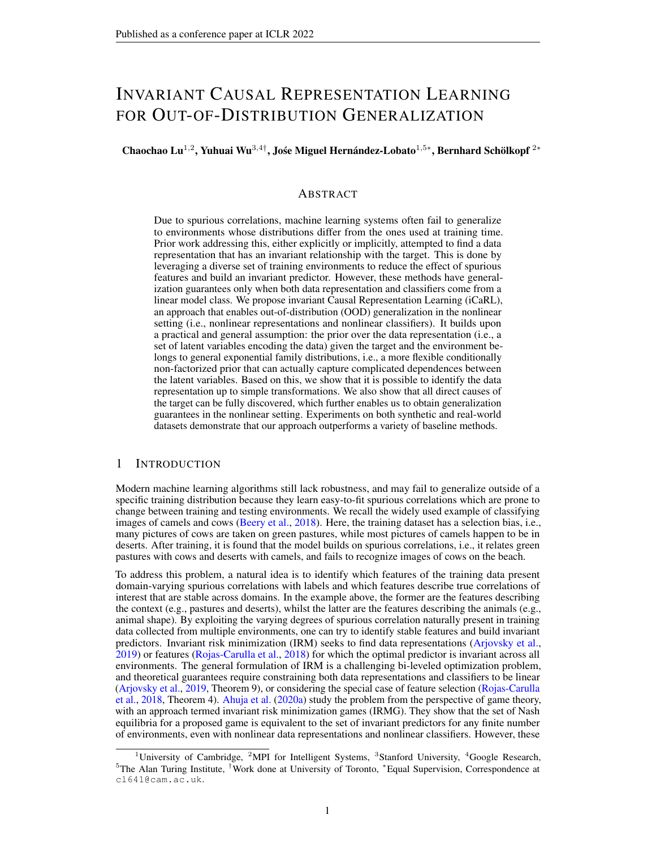- A Philip Dawid, Vanessa Didelez, et al. Identifying the consequences of dynamic treatment strategies: A decision-theoretic overviewStatistics Surveys: 184–231, 2010.
- Zhengming Ding and Yun Fu. Deep domain generalization with structured low-rank constrationt. Transactions on Image Processing  $(1):304-313$ , 2017.
- Qi Dou, Daniel C Castro, Konstantinos Kamnitsas, and Ben Glocker. Domain generalization via model-agnostic learning of semantic features. aiv preprint arXiv:1910.135802019.
- Sarah Erfani, Mahsa Baktashmotlagh, Masud Moshtaghi, Xuan Nguyen, Christopher Leckie, James Bailey, and Rao Kotagiri. Robust domain generalisation by enforcing distribution invariance. In Proceedings of the Twenty-Fifth International Joint Conference on Arti cial Intelligence (IJCAI-16), pp. 1455–1461. AAAI Press, 2016.
- Chen Fang, Ye Xu, and Daniel N Rockmore. Unbiased metric learning: On the utilization of multiple datasets and web images for softening bias. Interactings of the IEEE International Conference on Computer Visionpp. 1657–1664, 2013.
- José AR Fonollosa. Conditional distribution variability measures for causality detectiQause Effect Pairs in Machine Learningpp. 339-347. Springer, 2019.
- Yaroslav Ganin, Evgeniya Ustinova, Hana Ajakan, Pascal Germain, Hugo Larochelle, François Laviolette, Mario Marchand, and Victor Lempitsky. Domain-adversarial training of neural networks. The Journal of Machine Learning Researd  $\frac{1}{2}$ (1):2096–2030, 2016.
- Muhammad Ghifary, W. Bastiaan Kleijn, Mengjie Zhang, and David Balduzzi. Domain generalization for object recognition with multi-task autoencoders. IOCV, pp. 2551–2559. IEEE Computer Society, 2015.
- Ishaan Gulrajani and David Lopez-Paz. In search of lost domain generalization. preprint arXiv:2007.0143, 42020.
- Trygve Haavelmo. The probability approach in econometries conometrica: Journal of the Econometric Societypp. iii–115, 1944.
- Christina Heinze-Deml, Jonas Peters, and Nicolai Meinshausen. Invariant causal prediction for nonlinear models.Journal of Causal Inferenc®(2), 2018.
- Kevin D Hoover. The logic of causal inference: Econometrics and the conditional analysis of causation.Economics & Philosophy $6(2)$ :207–234, 1990.
- Patrik O Hoyer, Dominik Janzing, Joris M Mooij, Jonas Peters, and Bernhard Schölkopf. Nonlinear causal discovery with additive noise models Adwances in neural information processing systems pp. 689–696, 2009.
- Biwei Huang, Kun Zhang, Jiji Zhang, Joseph Ramsey, Ruben Sanchez-Romero, Clark Glymour, and Bernhard Schölkopf. Causal discovery from heterogeneous/nonstationary data. I of Machine Learning Researc<sup>h</sup> 1(89): 1-53, 2020.
- Aapo Hyvärinen. Estimation of non-normalized statistical models by score matclongnal of Machine Learning Researc<sup>6</sup>(4), 2005.
- Aapo Hyvärinen and Erkki Oja. Independent component analysis: algorithms and applications. Neural networks 13(4-5): 411–430, 2000.
- Aapo Hyvärinen, Hiroaki Sasaki, and Richard Turner. Nonlinear ICA using auxiliary variables and generalized contrastive learning. The 22nd International Conference on Arti cial Intelligence and Statisticspp. 859–868, 2019.
- Dominik Janzing, Joris Mooij, Kun Zhang, Jan Lemeire, Jakob Zscheischler, Povilas Daniušis, Bastian Steudel, and Bernhard Schölkopf. Information-geometric approach to inferring causal directions. Arti cial Intelligence, 182:1-31, 2012.
- Pritish Kamath, Akilesh Tangella, Danica J Sutherland, and Nathan Srebro. Does invariant risk minimization capture invariance arXiv preprint arXiv: 2101.0113, 42021.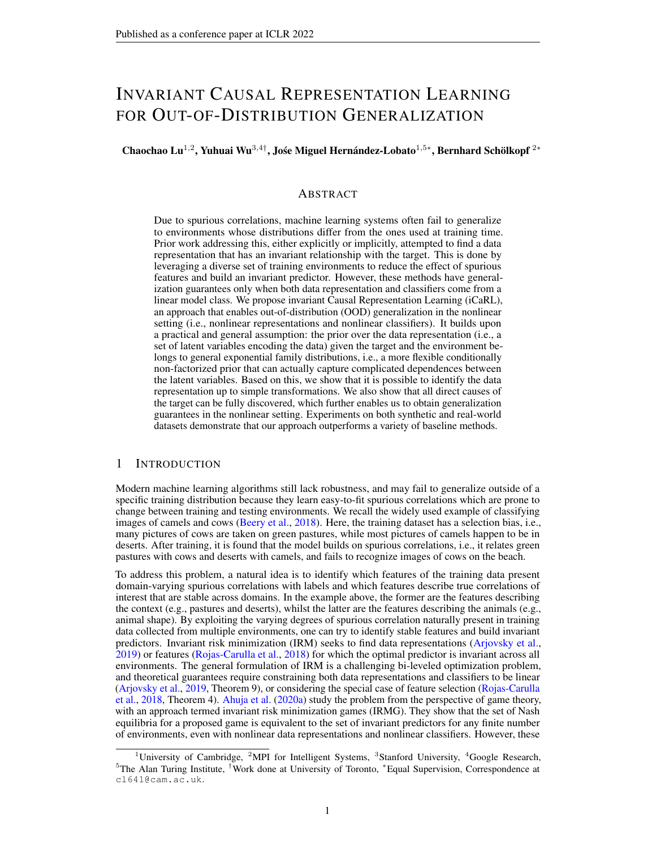- Ilyes Khemakhem, Diederik Kingma, Ricardo Monti, and Aapo Hyvärinen. Variational autoencoders and nonlinear ICA: A unifying framework. Imternational Conference on Arti cial Intelligence and Statisticspp. 2207–2217, 2020a.
- Ilyes Khemakhem, Ricardo Monti, Diederik Kingma, and Aapo Hyvarinen. Ice-beem: Identi-able conditional energy-based deep models based on nonlinea to ances in Neural Information Processing System<sup>33</sup>, 2020b.
- Diederik P Kingma and Max Welling. Auto-encoding variational bayesrXiv preprint arXiv:1312.61142013.
- Da Li, Yongxin Yang, Yi-Zhe Song, and Timothy M Hospedales. Deeper, broader and artier domain generalization. InProceedings of the IEEE international conference on computer vision 5542–5550, 2017a.
- Da Li, Yongxin Yang, Yi-Zhe Song, and Timothy Hospedales. Learning to generalize: Meta-learning for domain generalization. IProceedings of the AAAI Conference on Arti cial Intelligence volume 32, 2018a.
- Da Li, Jianshu Zhang, Yongxin Yang, Cong Liu, Yi-Zhe Song, and Timothy M Hospedales. Episodic training for domain generalization. Proceedings of the IEEE/CVF International Conference on Computer Visionpp. 1446-1455, 2019a.
- Haoliang Li, Sinno Jialin Pan, Shiqi Wang, and Alex C Kot. Domain generalization with adversarial feature learning. IProceedings of the IEEE Conference on Computer Vision and Pattern Recognition, pp. 5400–5409, 2018b.
- Wen Li, Zheng Xu, Dong Xu, Dengxin Dai, and Luc Van Gool. Domain generalization and adaptation using low rank exemplar svm EEE transactions on pattern analysis and machine intelligence 40(5):1114–1127, 2017b.
- Ya Li, Xinmei Tian, Mingming Gong, Yajing Liu, Tongliang Liu, Kun Zhang, and Dacheng Tao. Deep domain generalization via conditional invariant adversarial networks of the Deep domain generalization via European Conference on Computer Vision (ECOpp) 624–639, 2018c.
- Yiying Li, Yongxin Yang, Wei Zhou, and Timothy Hospedales. Feature-critic networks for heterogeneous domain generalization. International Conference on Machine Learning , 3915–3924. PMLR, 2019b.
- Francesco Locatello, Stefan Bauer, Mario Lucic, Gunnar Raetsch, Sylvain Gelly, Bernhard Schölkopf, and Olivier Bachem. Challenging common assumptions in the unsupervised learning of disentangled representations. international conference on machine learning . 4114-4124, 2019.
- Sara Magliacane, Thijs van Ommen, Tom Claassen, Stephan Bongers, Philip Versteeg, and Joris M Mooij. Domain adaptation by using causal inference to predict invariant conditional distributions. In Advances in Neural Information Processing Systems 10846–10856, 2018.
- Massimiliano Mancini, Samuel Rota Bulò, Barbara Caputo, and Elisa Ricci. Best sources forward: domain generalization through source-speci c nets20n8 25th IEEE international conference on image processing (ICIP<sub>DD</sub>, 1353–1357. IEEE, 2018.
- Jovana Mitrovic, Brian McWilliams, Jacob Walker, Lars Buesing, and Charles Blundell. Representation learning via invariant causal mechanisms. Xiv preprint arXiv: 2010.079222020.
- Saeid Motiian, Marco Piccirilli, Donald A. Adjeroh, and Gianfranco Doretto. Uni-ed deep supervised domain adaptation and generalization.  $I$ OCV, pp. 5716–5726. IEEE Computer Society, 2017.
- Krikamol Muandet, David Balduzzi, and Bernhard Schölkopf. Domain generalization via invariant feature representation. IGML, volume 28 of JMLR Workshop and Conference Proceedings 10–18, 2013.
- Vaishnavh Nagarajan, Anders Andreassen, and Behnam Neyshabur. Understanding the failure modes of out-of-distribution generalizatiorarXiv preprint arXiv:2010.1577,52020.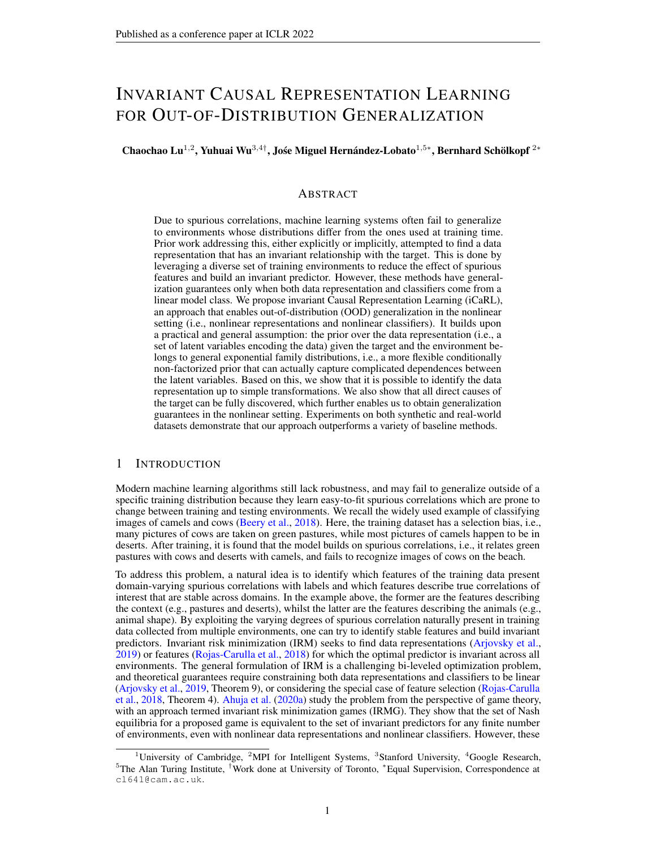- Li Niu, Wen Li, and Dong Xu. Multi-view domain generalization for visual recognition. In Proceedings of the IEEE international conference on computer vipin 4193–4201, 2015.
- Sinno Jialin Pan and Qiang Yang. A survey on transfer learning. Transactions on knowledge and data engineering  $2(10)$ : 1345–1359, 2009.
- Adam Paszke, Sam Gross, Francisco Massa, Adam Lerer, James Bradbury, Gregory Chanan, Trevor Killeen, Zeming Lin, Natalia Gimelshein, Luca Antiga, Alban Desmaison, Andreas Kopf, Edward Yang, Zachary DeVito, Martin Raison, Alykhan Tejani, Sasank Chilamkurthy, Benoit Steiner, Lu Fang, Junjie Bai, and Soumith Chintala. Pytorch: An imperative style, high-performance deep learning library. In H. Wallach, H. Larochelle, A. Beygelzimer, *Fi*lcthé-Buc, E. Fox, and R. Garnett (eds.),Advances in Neural Information Processing System \$628024-8035. Curran Associates, Inc., 2019.
- Vishal M Patel, Raghuraman Gopalan, Ruonan Li, and Rama Chellappa. Visual domain adaptation: A survey of recent advancelEEE signal processing magazine 2(3):53–69, 2015.
- Judea Pearl.Causality. Cambridge university press, 2009.
- Jonas Peters, Peter Bühlmann, and Nicolai Meinshausen. Causal inference using invariant prediction: identi cation and con dence intervalsarXiv preprint arXiv:1501.0133, 2015.
- Jonas Peters, Dominik Janzing, and Bernhard Schölkölefments of causal inference he MIT Press, 2017.
- Danilo Jimenez Rezende, Shakir Mohamed, and Daan Wierstra. Stochastic backpropagation and approximate inference in deep generative modalXiv preprint arXiv:1401.40822014.
- M. Rojas-Carulla, B. Schölkopf, R. Turner, and J. Peters. Invariant models for causal transfer learning. Journal of Machine Learning Research 9(36): 1-34, 2018.
- Elan Rosenfeld, Pradeep Ravikumar, and Andrej Risteski. The risks of invariant risk minimization. arXiv preprint arXiv: 2010.0576, 12020.
- Shiori Sagawa, Pang Wei Koh, Tatsunori B Hashimoto, and Percy Liang. Distributionally robust neural networks for group shifts: On the importance of regularization for worst-case generalization. arXiv preprint arXiv:1911.0873,12019.
- B. Schölkopf, D. Janzing, J. Peters, E. Sgouritsa, K. Zhang, and J. M. Mooij. On causal and anticausal learning. InProceedings of the 29th International Conference on Machine Learning (ICAAL) 1255–1262, 2012.
- Lukas Schott, Jonas Rauber, Matthias Bethge, and Wieland Brendel. Towards the rst adversarially robust neural network model on mnistr. Xiv preprint arXiv: 1805.0919,02018.
- Peter Spirtes, Clark N Glymour, Richard Scheines, and David Hecker Gaustion, prediction, and search MIT press, 2000.
- Amos Storkey. When Training and Test Sets Are Different: Characterizing Learning Tran 2029.
- Adarsh Subbaswamy, Bryant Chen, and Suchi Saria. A universal hierarchy of shift-stable distributions and the tradeoff between stability and performance iv preprint arXiv:1905.1137, 42019.
- Baochen Sun and Kate Saenko. Deep coral: Correlation alignment for deep domain adaptation. In European conference on computer visipp. 443–450. Springer, 2016.
- Xinwei Sun, Botong Wu, Chang Liu, Xiangyu Zheng, Wei Chen, Tao Qin, and Tie-yan Liu. Latent causal invariant modebrXiv preprint arXiv:2011.0220, 32020.
- Hemanth Venkateswara, Jose Eusebio, Shayok Chakraborty, and Sethuraman Panchanathan. Deep hashing network for unsupervised domain adaptation. Interestings of the IEEE Conference on Computer Vision and Pattern Recognition .5018–5027, 2017.
- Pascal Vincent. A connection between score matching and denoising autoen**chelers**. Computation, 23(7):1661–1674, 2011.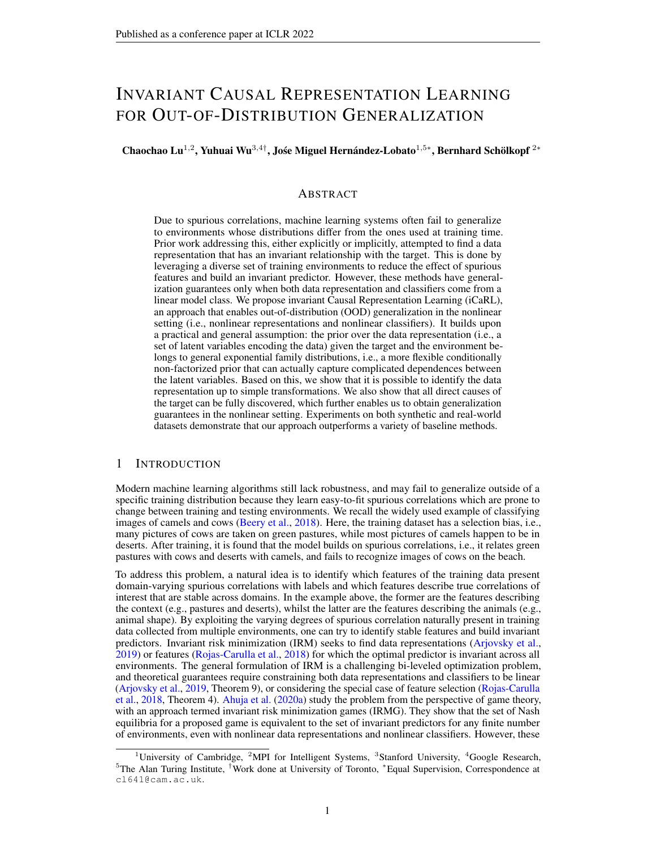- Julius von Kügelgen, Yash Sharma, Luigi Gresele, Wieland Brendel, Bernhard Schölkopf, Michel Besserve, and Francesco Locatello. Self-supervised learning with data augmentations provably isolates content from stylerXiv preprint arXiv:2106.0461, 2021.
- J. von Kügelgen, A. Mey, M. Loog, and B. Schölkopf. Semi-supervised learning, causality and the conditional cluster assumptioconference on Uncertainty in Arti cial Intelligence (UAQ020.
- Changzhang Wang, You Zhou, Qiang Zhao, and Zhi Geng. Discovering and orienting the edges connected to a target variable in a dag via a sequential local learning app**Carap**utational Statistics & Data Analysis 77:252–266, 2014.
- Haohan Wang, Aaksha Meghawat, Louis-Philippe Morency, and Eric P Xing. Select-additive learning: Improving generalization in multimodal sentiment analysi 20th 7 IEEE International Conference on Multimedia and Expo (ICMFb. 949–954. IEEE, 2017.
- Haohan Wang, Zexue He, Zachary C Lipton, and Eric P Xing. Learning robust representations by projecting super cial statistics ouarXiv preprint arXiv:1903.0625,62019.
- Garrett Wilson and Diane J Cook. A survey of unsupervised deep domain adapt ACM. Transactions on Intelligent Systems and Technology (TIST<sub>(5</sub>):1–46, 2020.
- Sewall Wright. Correlation and causation.agric. Res.20:557-580, 1921.
- Shen Yan, Huan Song, Nanxiang Li, Lincan Zou, and Liu Ren. Improve unsupervised domain adaptation with mixup trainingarXiv preprint arXiv:2001.0067,72020.
- Kun Zhang, Jonas Peters, Dominik Janzing, and Bernhard Schölkopf. Kernel-based conditional independence test and application in causal discovery is preprint arXiv:1202.37752012.
- Kun Zhang, Bernhard Schölkopf, Krikamol Muandet, and Zhikun Wang. Domain adaptation under target and conditional shift. Imternational Conference on Machine Learning . 819–827. PMLR, 2013.
- Kun Zhang, Mingming Gong, and Bernhard Schölkopf. Multi-source domain adaptation: A causal view. In Proceedings of the AAAI Conference on Arti cial Intelligencelume 29, 2015.
- Kun Zhang, Biwei Huang, Jiji Zhang, Clark Glymour, and Bernhard Schölkopf. Causal discovery from nonstationary/heterogeneous data: Skeleton estimation and orientation determination. In IJCAI: Proceedings of the Conference lume 2017, pp. 1347. NIH Public Access, 2017.
- Han Zhao, Remi Tachet Des Combes, Kun Zhang, and Geoffrey Gordon. On learning invariant representations for domain adaptation. International Conference on Machine Learning. 7523–7532. PMLR, 2019.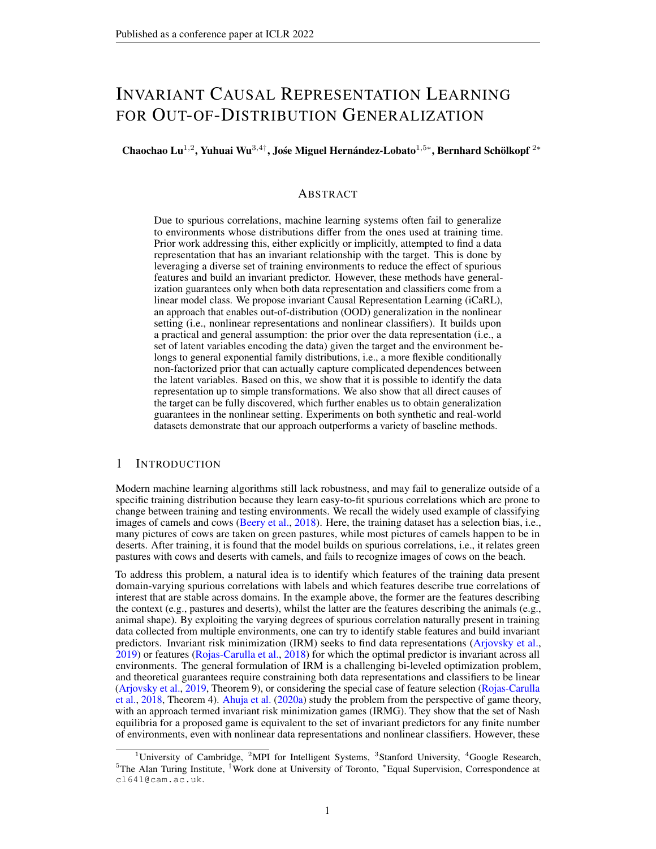# A DOMAIN GENERALIZATION

The goal of domain generalization (DG) (Muandet et al., 2013) is OOD generalization: learning a predictor that performs well at unseen test domains. Unlike domain adaptation (Pan & Yang, 2009; Ben-David et al., 2007; 2010; Crammer et al., 2008; Patel et al., 2015; Zhao et al., 2019; Wilson & Cook, 2020; Zhang et al., 2015), DG assumes that the test domain data are not available during training. One thread of DG is to explore techniques from kernel methods (Muandet et al., 2013; Niu et al., 2015; Erfani et al., 2016; Li et al., 2017b). Muandet et al. (2013) propose a kernel-based optimization algorithm that learns an invariant transformation by minimizing the discrepancy among domains and preventing the loss of relationship between input and output features. Another line of DG work is using end-to-end methods from deep learning: (a) reducing the differences of representations across domains through adversarial or similar techniques (Ghifary et al., 2015; Wang et al., 2017; Motiian et al., 2017; Li et al., 2018b;c); (b) projecting out super cial domain-speci c statistics to reduce sensitivity to the domain (Wang et al., 2019); (c) fusing representations from an ensemble of models across domains (Ding & Fu, 2017; Mancini et al., 2018). Meta-learning can also be applied to domain generalization, by dividing source domains into meta-training and meta-test sets, and aiming for a low generalization error on meta-test sets after training on meta-training sets (Balaji et al., 2018; Dou et al., 2019; Li et al., 2018a; 2019a;b). Recently, an extensive empirical survey of many DG algorithm (Gulrajani & Lopez-Paz, 2020) suggested that with current models and data augmentation techniques, plain ERM may be competitive with the state-of-the-art. It is worth noting that Sun et al. (2020) also propose an approach to learning latent causal factors for prediction. However, their assumptions over the underlying causal graph are restricted due to two reasons: 1) they only consider the scenarios whe Z and Y are generated concurrently, which excludes the cases in which some part of Z could also be affected by in some manner; 2) They assume that the causal latent factors and the non-causal latent factors are independent when conditioning En that is,  $Z_p$  ?  $Z_c$  jE. In practice, during model learning, they actually further assume that  $Z_j$  jE for anyi  $\epsilon$  j so that VAE could be leveraged to learn the model. In this sense, their approach has the same issue as the one in iVAE, i.e., unable to deal with the non-factorized cases. This point is also veri-ed in Table 2, where our approach greatly outperforms theirs.

# B VARIATIONAL AUTOENCODERS

We brie y describe the framework of variational autoencoders (VAEs), which allows us to ef ciently learn deep latent-variable models and their corresponding inference models (Kingma & Welling, 2013, Rezende et al., 2014). Consider a simple latent variable model WherR<sup>d</sup> stands for an observed variable and 2 R<sup>n</sup> for a latent variable. A VAE method learns a full generative model  $p(X; Z) = p(X | Z)$  and an inference model (Z $jX$ ), typically a factorized Gaussian distribution whose mean and variance parameters are given by the output of a neural network with input X. This inference model approximates the postepion  $\mathbb{Z}$  jX ), where is a vector of parameters of the generative modela vector of parameters of the inference model,  $\text{par}(\mathbf{Z})$ is a prior distribution over the latent variables. Instead of maximizing the data log-likelihood, we maximize its lower bound  $v_{AE}($  ; ):

logp  $(X)$  L  $_{VAE}($  ;  $)$  := E<sub>q (Z jX</sub> )[logp  $(X$  jZ)] KL (q (Z jX )jjp (Z )); where we have used Jensen's inequality,  $\mathbf{K}\hat{\mathbf{h}}$ d ij) denotes the Kullback-Leibler divergence between two distributions.

### C DERIVATION

### C.1 IVAE

In Section 2.1, the evidence lower bound of iVAE is de ned by  $\mathsf{L}_{\mathsf{iVAE}}(~\ ;~$  )  $\mathsf{:=}\mathsf{E}_{\mathsf{p}_\mathsf{D}}$  ,  $\mathsf{E}_{\mathsf{q}}$   $_{(Z\, \mathsf{j} X\, \mathsf{;U})}$  [log  $\mathsf{p}_\mathsf{f}$   $(\mathsf{X}\, \mathsf{j}\mathsf{Z}\,)$ ] ,  $\mathsf{KL}\,(\mathsf{q}\,~(\mathsf{Z}\, \mathsf{j} \mathsf{X}\, \mathsf{;U})$ jj  $\mathsf{p}_{\mathsf{T}\, \mathsf{i}}$  ,  $(\mathsf{Z}\, \mathsf{j}\mathsf{U}\,)\$  $=\mathsf{E}_{\mathsf{p}_\mathsf{D}}\ \ \mathsf{E}_{\mathsf{q}\ \,(\mathsf{Z}\, \mathsf{j}\mathsf{X}\,;\mathsf{U}\,)}\,$ [log $\mathsf{p}_\mathsf{f}\ (\mathsf{X}\, \mathsf{j}\mathsf{Z}\,)\texttt{+}$ log  $\mathsf{p}_\mathsf{T}\ \mathsf{p}\ (\mathsf{Z}\, \mathsf{j}\mathsf{U}\,)$   $\ \ \ \textsf{log}\,\mathsf{q}\ (\mathsf{Z}\, \mathsf{j}\mathsf{X}\,;\mathsf{U}\,)$ ] :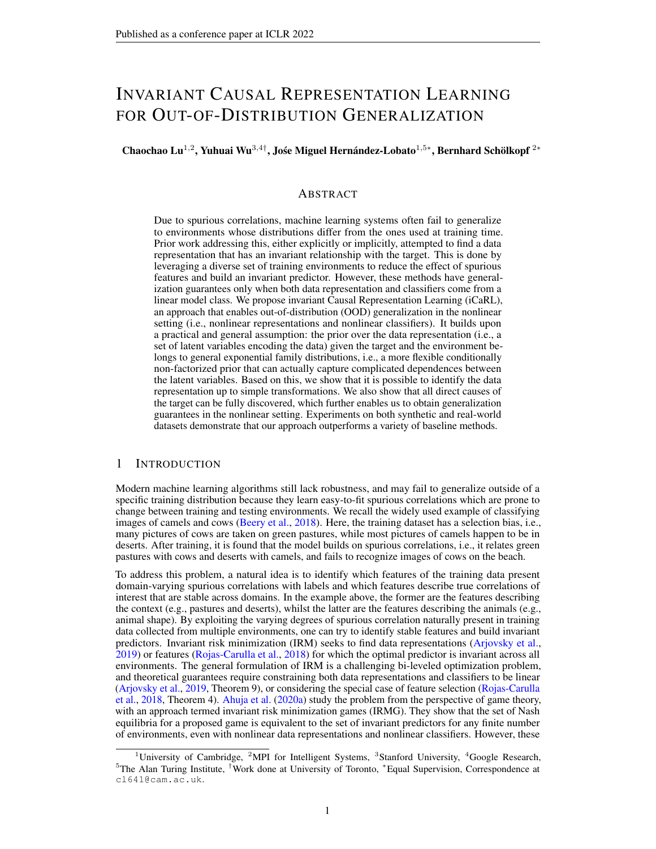### C.2 SCOREMATCHING

In Section 4.1, we follow Hyvärinen (2005) and use a simple trick of partial integration to simplify the evaluation of the score matching objective linearin Eq. (10) of the main text: i

$$
L_{phase}^{SM}(T; ) := E_{p_{D}} \mathop{\mathbb{E}_{q}} \limits_{(z \, jX \, ; Y \, ; E)} E_{q} \mathop{\mathbb{E}_{q}} \limits_{(z \, jX \, ; Y \, ; E)} \mathop{\mathbb{I}\mathbb{I}} \limits_{j=1}^{n} z \log q \ (Z \, jX \, ; Y \, ; E) \ r \ z \log p_{T} \ (Z \, jY \, ; E) \mathop{\mathbb{I}\mathbb{I}} \limits_{\mathcal{Q}} \frac{z}{T} + \frac{1}{2} \frac{z}{T} \frac{z}{T} + \frac{1}{T} \frac{z}{T} \frac{z}{T} + \text{const:}
$$

where the last equality is due to the Theorem 1 in Hyvärinen (2005).

# D DEFINITIONS FORSEM AND IRM

De nition 2. A structural equation model (SEM)  $\equiv$  (S;N) governing the random vector  $Z = (Z_1; \ldots; Z_d)$  is a set of structural equations:

> $S_i : Z_i$  $f_i(PaZ_i); N_i);$

wherePa(Z $_{{\rm i}}$ ) f Z $_{{\rm 1}}; \ldots$  ; Z $_{{\rm d}}$ g n $\mathsf{fZ}_{{\rm i}}$ g are called the parents  $\bm{{\alpha}}_{{\rm i}}$  , and theN $_{{\rm i}}$  are independent noise random variables. We say that " cause  $Z_j$ " if  $Z_i$  2 Pa( $Z_j$ ). We call causal graph of to the graph obtained by drawing i) one node for each and ii) one edge fror $\mathbf{\vec{a}}_i$  to Z $_{\textrm{j}}$  if Z $_{\textrm{i}}$  2 Pa(Z $_{\textrm{j}}$  ). We assume acyclic causal graphs.

De nition 3. Consider a SEMM  $:= (S; N)$ . An interventione on M consists of replacing one or several of its structural equations to obtain an intervened SEM := (S<sup>e</sup>; N<sup>e</sup>), with structural equations:

$$
S_i^e: Z_i^e \quad f_i^e(P\hat{\mathcal{A}}(Z_i^e); N_i^e);
$$

The variableZ  $e$  is intervened i $S_i$  is  $S_i^e$  or  $N_i$  is  $N_i^e$ .

De nition 4. Consider a structural equation model (SEMS) governing the random vector  $(Z_1; \ldots; Z_n; Y)$ , and the learning goal of predicting from Z. Then, the set of all environments $E_{all}$  (S) indexes all the interventional distributions(Z<sup>e</sup>; Y<sup>e</sup>) obtainable by valid interventionse. An interventione 2  $E_{\text{all}}(S)$  is valid as long as (i) the causal graph remains acyclic, (ii)  $E[Y^e]Pa(Y)$ ] =  $E[Y]Pa(Y)$ ], and (iii) V [Y  $e$ ]P $a(Y)$ ] remains within a nite range.

# E DEFINITIONS AND LEMMAS FOR THEEXPONENTIAL FAMILIES

De nition 5. (Exponential family) A multivariate exponential family is a set of distributions whose probability density function can be written as

$$
p(Z) = \frac{Q(Z)}{Q} \exp(hT(Z); i); \qquad (13)
$$

whereQ : Z ! R is the base measur  $\mathbf{C}$  ) is the normalizing constant, : Z ! R<sup>k</sup> is the suf cient statistics, and 2  $R<sup>k</sup>$  is the natural parameter. The sixe n is the dimension of the suf cient statisticsT and depends on the latent space dimensioNote thatk is xed givenn.

De nition 6. (Strongly exponential distribution) a multivariate exponential family distribution

$$
p(Z) = \frac{Q(Z)}{Q} \exp(hT(Z); i)
$$
 (14)

is strongly exponential, if

(9 2 R<sup>k</sup> s:t: hT(Z); i = const; 8Z 2 Z) =) (l(Z) = 0 or = 0); 8Z R  $R^n$ : ; (15) wherel is the Lebesgue measure.

The density of a strongly exponential distribution has almost surely the exponential component and can only be reduced to the base measure on a set of measure zero. Note that all common multivariate exponential family distributions (e.g. multivariate Gaussian) are strongly exponential.

### F DEFINITIONS FORIDENTIFIABILITY

De nition 7. Let be the domain of the parameters= f f; T; g. Let be an equivalence relation on . A deep generative model is said to beidenti able if

$$
p(X) = p(X) =)
$$
  $\tilde{}$  (16)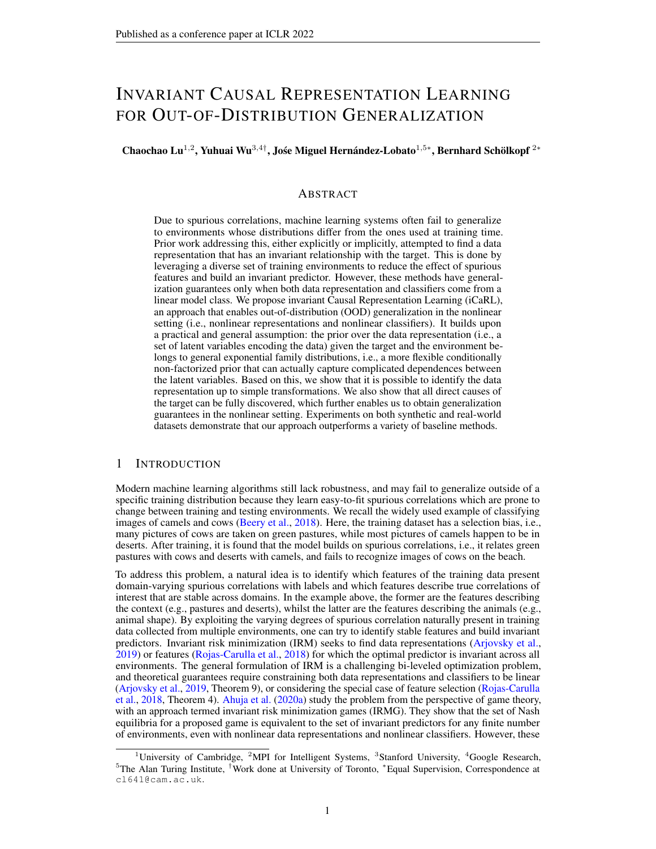

Figure 3: (a) General causal structure of  $M_i$ ;  $Y$ ;  $X$ ; Eg, where the arrow from $Z_i$  to  $X$  is a must-have connection and the other four might not be necessary. (b) Ten possible causal structures from (a) under Assumptions 1&2.

The elements in the quotient space  $\overline{a}$  are called the identi-ability classes.

De nition 8. Let  $_A$  be an equivalence relation on de ned by:

(f; T; )  $_A$  (f, T; ~)  $\emptyset$  9 A; c s.t. T (f  $(1)(X)$ ) = AT $(f^{-1}(X))$  + c; 8X 2 O; (17) whereA 2  $R^k$  k is an invertible matrix and 2  $R^k$  is a vector.

De nition 9. Let  $\mathsf{p}$  be an equivalence relation on de ned by:

(f; T; )  $_P$  (f, T; ~)  $\emptyset$  9 P; c s.t. T (f  $(1)(X)$ ) = PT (f  $(1)(X)$ ) + c; 8X 2 O; (18) whereP 2  $R^{k-k}$  is a block permutation matrix and 2  $R^{k}$  is a vector.

# G PHASE 2: DISCOVERINGSINGLE CAUSE

#### G.1 SOME SPECIAL CASES IN MULTI-CAUSE SETTINGS

These conditional independence tests can be performed in parallel to largely accelerate the testing procedure. Note that, in practice, it might occur that there exist **some** hich is independent of any otherZ<sub>j</sub> when conditioning onY andE . It is probably because suan is a deterministic transformation ofY . In this special case, we can use IGCI (Daniusis et al., 2012; Janzing et al.,  $2012$ ) to determine whether or not is a cause of . Also note that, in some scenarios in which the dependence signals between a pair of causal latent variables might be weak due to the data issue, we can test the conditional independence of such a latent variable with all the other causal latent variables. If it is conditionally dependent on more than half of them or its average p-value is larger than the pre-speci ed threshold, we will select it as one cause.of

#### G.2 DISCOVERINGSINGLE CAUSE

In the single-cause case, by following Wang et al. (2014), we leverage they-MBalgorithm to rst construct alocal structure around and then discover the single parent of according to the constructedocal graph. One obvious advantage of this approach is in ef ciency, because there is no need to construct the whole causal graph containing all the latent variables.and

We could have an even more ef cient solution to the single-cause case in some special scenarios where we assume th $\vec{a}$ t ?  $Z_j$  jY ; E for anyi  $\theta$  j . In fact, this assumption covers more scenarios than the common assumption that?  $Z_j$  for i  $\epsilon$  j in latent variable models, e.g., disentanglement (Bengio et al., 2013; Locatello et al., 2019), autoencoders (Kingma & Welling, 2013; Rezende et al., 2014), ICA (Comon, 1994; Hyvärinen & Oja, 2000), etc. Yilis caused by at most one Zif and Z<sub>j</sub>, and no matter whethan<sub>i</sub> andZ<sub>j</sub> are caused b $\sqrt{\mathbf{z}}$  or not, thenZ<sub>i</sub> ? Z<sub>j</sub> jY ; E holds, but we may well haveZ $_{\rm i}$  6? Z $_{\rm j}$  (e.g., if Y causes bot ${\tt Z}_{{\rm i}}$  andZ $_{\rm j}$  , or if there is a chainZ $_{\rm i}$  ! Y ! Z $_{\rm j}$  ). If Y  $\,$ causes or is caused by at most one $\,$ øand $\rm Z_{j}$  , and at most one  $\rm a\bar{t}_{i}$  and $\rm Z_{j}$  is caused b $\rm E$  , then bothZ $_$ i ?  $Z_j$  andZ $_$ i ?  $Z_j$  jY ; E\_hold. If f Y ; Z $_j$ ; Z $_j$  g form a colliderZ $_1$  !  $\,$  Y  $\,-\,$  Z $_j$  , and no matter whethe $\mathbb{Z}_i$  and $\mathsf{Z}_j$  are caused b $\mathsf{\not{\!\! E}}$  or not, then $\mathsf{Z}_i$  ?  $\mathsf{Z}_j$  jE hold, but we may hav $\mathsf{\not{\!\! E}}_i$  6?  $\mathsf{Z}_j$ (e.g., when botl $\mathbf{Z}_\text{i}$  and $\mathbf{Z}_\text{j}$  are caused b $\mathbf{\Xi}$  ).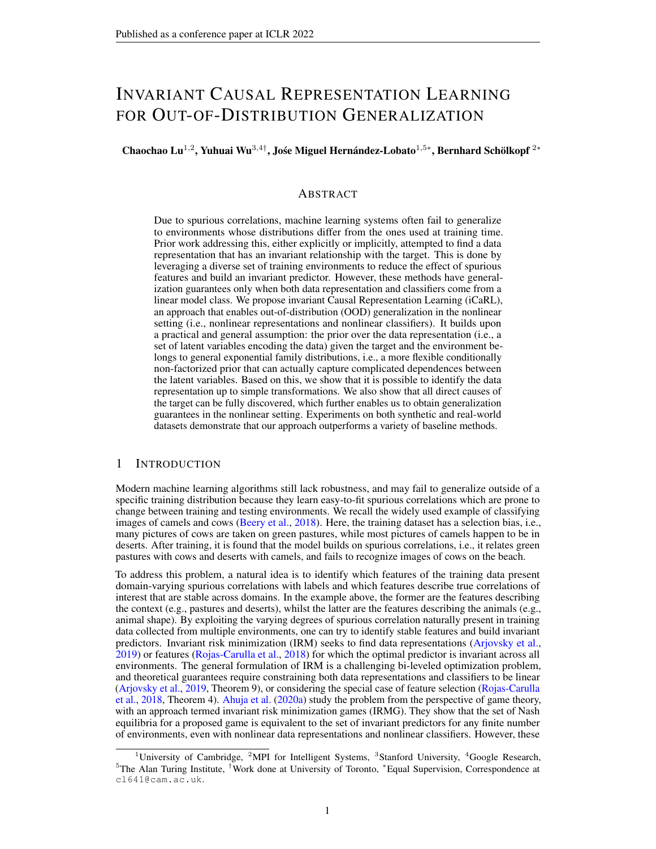Under this assumption, we are able to separately look into  $\vec{z}$  adiven Y and E, without considering any othe $\mathbb{Z}_\mathrm{j}$  . Fig. 5a shows that there exist only  $\,$  ve possible connections bet $\mathbb{Z}$ e,eYn, E , andX . Among them, only the arrow from i to X must exist, because is generated from  $\mathbf z$  . The other four arrows might not be present, with the exception that there must be at least one connection between $Z_i$  and Y or E (Assumption 1a). This leaves ten possible structures, shown in Figs. 3b-3k.

Given dataf  $\hat{\mathcal{Z}}_i$ ; Y ; E ; X g in which the $\hat{\mathcal{Z}}_i$  are obtained using (Z jX ; Y ; E ) (for example, as given by the mean of this distribution), we are able to distinguish all ten structures in Figs. 3b-3k by using causal discovery algorithms (Peters et al., 2017; Zhang et al., 2017; Huang et al., 2020) and performing conditional independence tests (Spirtes et al., 2000; Zhang et al., 2012). This is summarized in Proposition 2 below. Its proof can be found in Appendix H, which also describes the speci c assumptions made. In practice, we can assess in parallel whether or n**zt eachdirect** cause of Y, which accelerates this phase signi cantly.

Proposition 2. Under the assumptions stated in Appendix H, the ten structures shown in Figs. 3b-3k can be identi ed using causal discovery methods consistent in the in nite sample limit.

Note that there are only four cases in whichis a parent of (i.e., Figs. 3b, 3e, 3g, and 3j). We can identify these by applying rules 2, 1.6, 2.1, and 3.1 from Appendix  $H.5$ .

### H PROOFS

H.1 PROOF OFTHEOREM1

The proof of this theorem consists of three parts.

In Part I, we prove that the parameterare  $\overline{A}$  identi able (De nition 8) by using assumption (i), the rst half of assumption (ii), and assumption (iv) of Theorem 1.

In Part II, based on the result in Part I, we further prove that the parameters  $_P$  identi able (De nition 9) by additionally using Assumption 2, the second half of assumption (ii) and assumption (iii) of Theorem 1.

In Part III, we combine the results (Theorems 4&5) in both Part I and Part II into one theorem (Theorem 1), which completes the proof.

It is worth noting that, compared to the proof in iVAE, the main changes in our proof consist of

- Part I, In step III.
	- It has been updated to account for vectors of suf cient statistics whose entries can be arbitrary functions of all entries in the random variable vector, while in the previous proof the suf cient statistics contained entries that are functions of individual entries in the random variable vector.
	- The assumption of "The suf cient statistics Thare all linearly independent." is not required in our proof, but it is in the proof of iVAE.
- Part II.
	- $-$  It has been updated to account for the part of the suf cient statistics which is the output of a deep neural network with ReLU activation functions.

### H.1.1 PART I

For notational simplicity, in the proof of this part we denote:  $E$  ) by U. Hence, our generative model de ned according to Eqs. (6-8) in the main text now becomes:

 $p(X; Z|U) = p_f(X|Z)p_{T}$ ; (Z jU ); (19)

$$
p_f(X|Z) = p(X + f(Z));
$$
 (20)

$$
p_{T}
$$
; (ZjU) = Q(Z)=Q(U) exp T(Z)<sup>T</sup> (U)]: (21)

Theorem 4. Suppose that we observe data sampled from a deep generative model de ned according to Eqs. (19-21) with paramete $fs$ ; T; ). Assume that

(i) The sef X 2 Oj'  $\cdot$  (X ) = 0 g has measure zero, where is the characteristic function of the densityp<sub>"</sub> de ned in Eq. (20);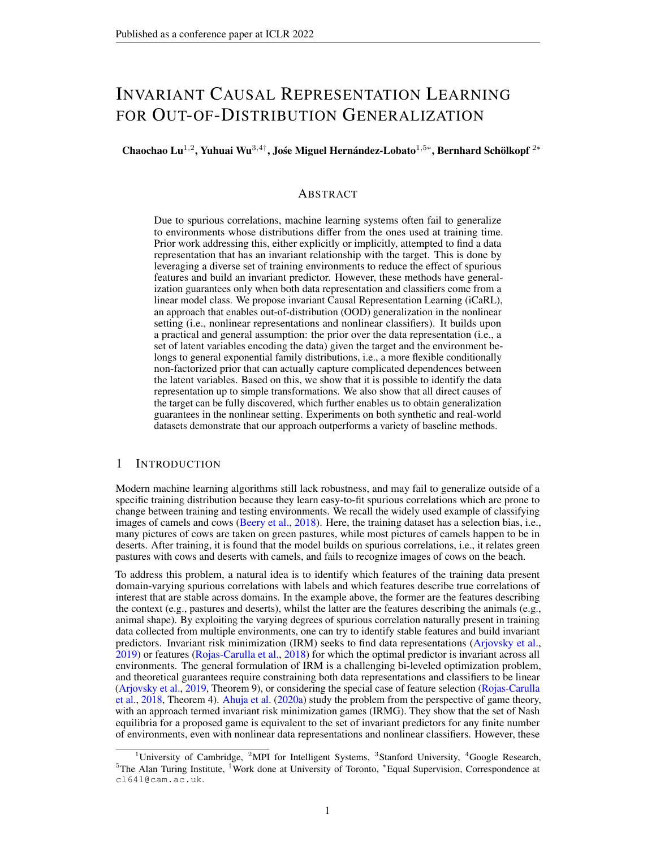- (ii) The mixing functior in Eq.  $(20)$  is injective;
- (iii) There existk + 1 points  $U^0$ ;  $U^1$ ; ; U<sup>k</sup> 2 U such that the matrix  $L = [ (U<sup>1</sup>) (U<sup>0</sup>); ; (U<sup>k</sup>) (U<sup>0</sup>)] 2 R<sup>k k</sup>$ (22) is invertible.

Then the parameterfs ; T ; g are  $\;$   $_{\rm A}$  identi able.

Proof. De ne vol $(B)$  = p det( $\mathsf{B}^\intercal\mathsf{B}$ ) for any full column rank matri $\mathsf{B}$ . Suppose that we have two sets of parameters= ( $f$ ; T; ) and  $\tilde{=}$  ( $f$ ; T;  $\tilde{=}$ ) such thap ( $X$  jU ) = p<sub> $\tilde{=}$ </sub>( $X$  jU ); 8( $X$ ; U) 2 O U . We want to show  $\alpha$   $\sim$ 

Step I. The proof of this step is similar to Step I in the proof of Theorem 1 in Khemakhem et al. (2020a). We transform the equality of the marginal distributions over observed data into the equality of noise-free distributions. For all pai $( \mathsf{X} \ ; \mathsf{U} \ )$  2 O  $\; \mathsf{U} \;$  , we have

|  | $p(X  U) = p(X  U)$                                                                                                                                                                                                                                                                                                                                       | (23) |
|--|-----------------------------------------------------------------------------------------------------------------------------------------------------------------------------------------------------------------------------------------------------------------------------------------------------------------------------------------------------------|------|
|  | =) $p_f(X Z)p_T$ ; $(Z U)dZ = p_f(X Z)p_{T}$ ; $(Z U)dZ = z$                                                                                                                                                                                                                                                                                              | (24) |
|  | =) $p_{\uparrow}$ ; (X if (Z)) $p_{\uparrow}$ ; (ZjU) dZ = $p_{\uparrow}$ (X if (Z)) $p_{\uparrow}$ ; (ZjU) dZ                                                                                                                                                                                                                                            | (25) |
|  | $\int_{\Omega} \mathsf{P}^{\mathsf{p}}(X-X)\mathsf{p}_{\mathsf{T}_{\mathsf{T}}}((\mathsf{f}^{-1}(X))\mathsf{U})\, \mathsf{vol}(\mathsf{J}_{\mathsf{f}^{-1}}(X))\, \mathsf{d}X\;=\;\;\;\mathsf{P}^{\mathsf{p}}(X-X)\mathsf{p}_{\mathsf{T}_{\mathsf{T}}^{-1}}(\mathsf{f}^{-1}(X))\mathsf{U})\, \mathsf{vol}(\mathsf{J}_{\mathsf{f}^{-1}}(X))\, \mathsf{d}X$ |      |
|  |                                                                                                                                                                                                                                                                                                                                                           | (26) |
|  | $=$ ) $P^*(X - X)P_{f^*:T; 0}(X)dX = P^*(X - X)P_{f^*:T^*:U}(X)dX$                                                                                                                                                                                                                                                                                        | (27) |
|  | =) $(p_{f,T}$ ; ; $U$ $p_{r}(X) = (p_{f-T^{-1}})(X)$                                                                                                                                                                                                                                                                                                      | (28) |
|  | $=$ ) $F[\mathbf{p}_{f,T}; \cdot; U](!)^{T}$ (! ) = $F[\mathbf{p}_{f \sim T^{T}$ ; -: $U^{T}}](!)^{T}$ (! )                                                                                                                                                                                                                                               | (29) |
|  | =) $F[\mathbf{p}_{f,T}; j_{U}](! ) = F[\mathbf{p}_{f \sim T^{1/2}}](!)$                                                                                                                                                                                                                                                                                   | (30) |
|  |                                                                                                                                                                                                                                                                                                                                                           |      |

$$
=) \tP_{f:T; jU}(X) = P_{f \sim T; \sim jU}(X)
$$
 (31)

where

- in Eq.  $(26)$ , J denotes the Jacobian, and we made the change of valiable  $(Z)$  on the left hand side, and  $= f(2)$  on the right hand side.
- in Eq. (27), we introduced

$$
p_{f, T; y}(X), p_{T; f}(f^{-1}(X))U) \text{ vol}(J_{f^{-1}}(X))I_0(X)
$$
\non the left hand side, and similarly on the right hand side.

- in Eq. (28), we used for the convolution operator.
- in Eq. (29), we used [:] to designate the Fourier transform, and where= F [p ] (by de-nition of the characteristic function).
- in Eq. (30), we dropped  $(!)$  from both sides as it is non-zero almost everywhere (by assumption (i)).

Step II. In this step, we remove all terms that are either a function of U. First, by replacing both sides of Eq. (31) by their corresponding expressions from Eq. (32), we have

$$
p_{T} \, ; \, (f^{-1}(X)jU) \, \text{vol}(J_{f^{-1}}(X)) = p_{T^{k-1}}(f^{-1}(X)jU) \, \text{vol}(J_{f^{-1}}(X)) \, : \tag{33}
$$

Then, by taking logarithm on both sides of Eq.  $(33)$  and replaping by its expression from Eq. (21), we obtain

$$
\begin{array}{lll}\n\log vol(J_{f^{-1}}(X)) + \log Q(f^{-1}(X)) & \log Z(U) + T(f^{-1}(X)) & \text{(U)} \\
&= \log vol(J_{f^{-1}}(X)) + \log Q(f^{-1}(X)) & \log Z(U) + T(f^{-1}(X)); \sim(U) \quad \text{(34)}\n\end{array}
$$

Let U<sup>0</sup>; U<sup>1</sup>;  $\;$ ; U<sup>k</sup> 2 U be thek + 1 points de ned in assumption (iii). We evaluate the above equation at these points to obtain + 1 equations, and subtract the rst equation from the remaining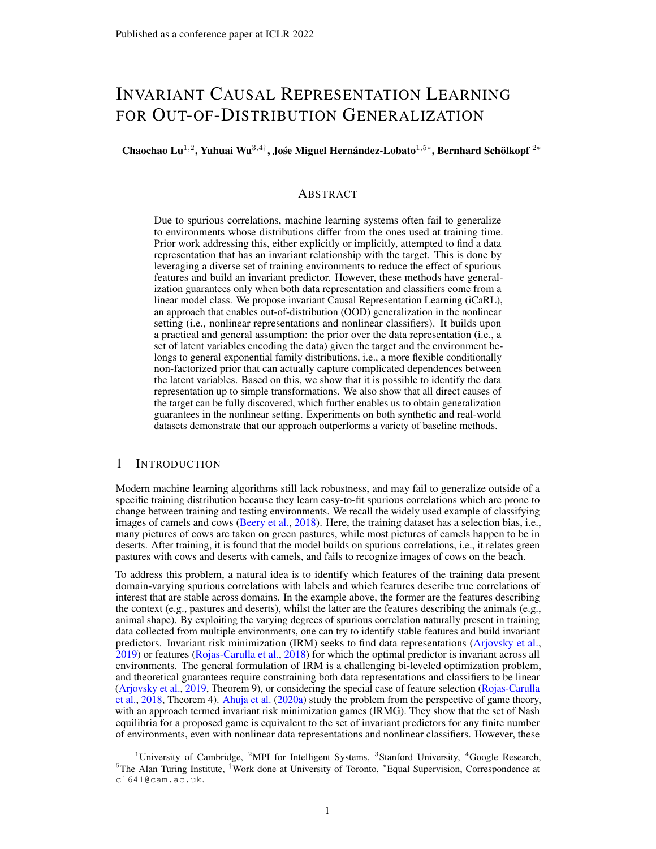k equations to obtain:

T(f<sup>-1</sup>(X)); (U<sup>1</sup>) (U<sup>0</sup>) + log 
$$
\frac{Z(U^0)}{Z(U^1)}
$$
  
= T(f<sup>-1</sup>(X)); ~ (U<sup>1</sup>) ~ (U<sup>0</sup>) + log  $\frac{Z(U^0)}{Z(U^1)}$ ; 1 = 1; ; k: (35)

Let L be de ned as in assumption (iii) and de ned similarly for ~. Note thatL is invertible by assumption, but is not necessarily invertible. Lettirtng2 R<sup>k</sup> in which b = log  $\frac{Z(U^0)Z(U^1)}{Z(U^1)Z(U^0)}$ , we have

$$
L^{T}T(f^{-1}(X)) = L^{T}T(f^{-1}(X)) + b.
$$
 (36)

Left multiplying both sides of the above equation by  $T$  gives

$$
T(f^{-1}(X)) = A T(f^{-1}(X)) + c;
$$
  
where  $A = L^{T} L 2 R^{k-k}$  and  $c = L^{T} D 2 R^{k}$ . (37)

Step III. To complete the proof, we need to show that invertible. Let  $Z_1 \cdot Z \cdot Z_2$   $\cdot X_1 =$ f  $(Z<sub>1</sub>)$ ; l = 0; ; k. We evaluate Eq. (37) at the ket 1 points to obtain k + 1 equations and subtract the rst equation from the remaining equations to obtain

$$
\left\{\frac{\Gamma(Z_1) - \Gamma(Z_0);}{\sum_{R \ge R^k} \sum_{k=1}^k \Gamma(Z_k) - \Gamma(Z_0)}\right\}
$$
\n
$$
= A \left\{\frac{\Gamma(f^{-1}(X_1)) - \Gamma(f^{-1}(X_0));}{\sum_{R \ge R^k} \sum_{k=1}^k \Gamma(Z_k) - \Gamma(f^{-1}(X_0))}\right\} : (38)
$$

We need to show that for a give  $T_0$  2 Z, there exisk pointsZ<sub>1</sub>;  $\ldots$ ; Z<sub>k</sub> 2 Z such that the columns of R are linearly independent. Suppose, for contradiction, that the colum Resolution ever be linearly independent for any choice  $\mathbf{Z}f_1$ ;  $\;\;$ ;  $Z_k$  2 Z . Then the functiorg(Z),  $\;\;$  T(Z)  $\;\;$  T(Z<sub>0</sub>) would live in ak 1 or lower dimensional subspace, and thus we could nd a non-zero v would live in ak 1 or lower dimensional subspace, and thus we could nd a non-zero vector 2 R<sup>k</sup> orthogonal to that subspace. This would imply th $\bar{a}(Z)$  T( $Z_0$ ); i = 0 and thus hT (Z); i =  $\overline{h}$ T (Z<sub>0</sub>); i = const; 8Z 2 Z, which contradicts the assumption that the prior is strongly exponential (De nition 6). Therefore, we have shown that there exist points  $Z_0$ ;  $Z_1$ ; ;  $Z_k$  2 Z such thatR is invertible. SinceR = AR andA is not a function of Z, A must be invertible. This completes the proof.  $\Box$ 

#### H.1.2 PART II

Theorem 5. Suppose that all assumptions in Theorem 4 hold. Let the suf cient statistics T (Z ) = [ T<sub>f</sub> (Z )<sup>T</sup>; T<sub>NN</sub> (Z )<sup>T</sup>]<sup>T</sup> given by the concatenation of a) the suf cient statistlet (z ) =  $[T_1(Z_1)^T$ ;  $T_n(Z_n)^\top]^\top$  of a factorized exponential family, where all t $\texttt{fln}(Z_i)$  have dimension larger or equal to 2, and b) the output  $_N$  (Z) of a neural network with ReLU activations. (note that a neural network with ReLU activation has universal approximation power and should be able to capture any dependencies of interest). Let the dimension of  $_{\mathsf{f}}$  and thus tha $\mathsf{k}^\mathsf{0}$  2n. Assume that

- (i) the suf cient statistics  $F_f$  have all second-order own derivatives;
- (ii) the mixing functior has all second-order cross derivatives.

Then the parameterts  $T$ ; gare  $P$  identi able.

Proof. Let 
$$
v = f^{-1}
$$
  $f : Z : Z$ . Since all assumptions in Theorem 4 hold, we have  
\n
$$
T(Z) = A T(v(Z)) + c;
$$
\n(39)  
\nwhere  $\Delta$  2 R<sup>k</sup> is invertible. We want to show that is a block permutation matrix

whereA 2 R<sup>r</sup> is invertible. We want to show that is a block permutation matrix.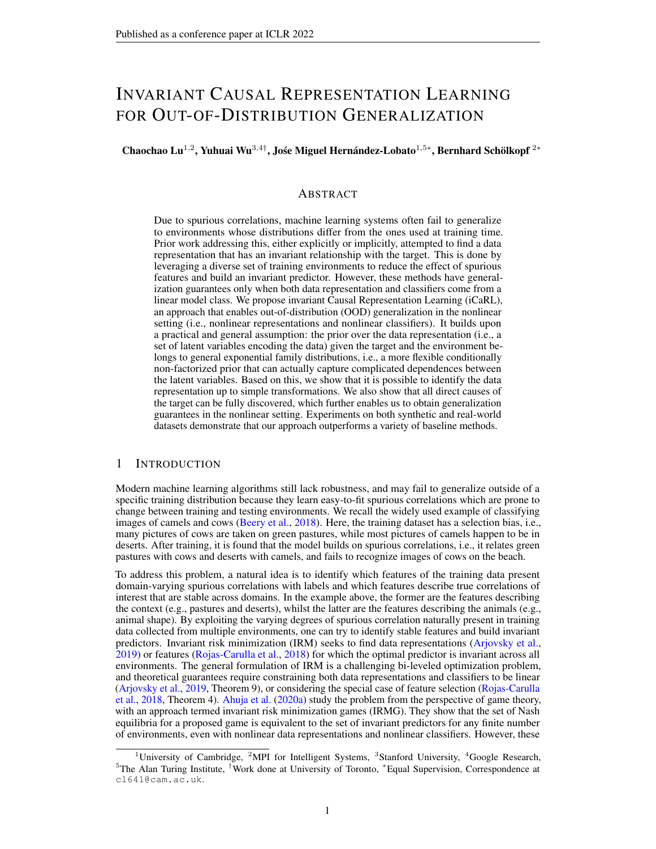Step I. In this step, we show that is a componentwise function. First we differentiate both sides of Eq. (39) with respect t $\overline{\mathfrak{a}}_s$  and  $Z_t$  (s  $\epsilon$  t) to obtain

$$
\frac{\mathfrak{A}(Z)}{\mathfrak{A}(Z)} = A \sum_{i=1}^{N} \frac{\mathfrak{A}(v(Z))}{\mathfrak{A}(Z)} \frac{\mathfrak{A}(Z)}{\mathfrak{A}(Z)} \tag{40}
$$

$$
\frac{\mathcal{C}\Gamma(Z)}{\mathcal{Q}Z\mathcal{Q}Z} = A \sum_{i=1}^{N} \sum_{j=1}^{N} \frac{\mathcal{C}\Gamma(v(Z))}{\mathcal{Q}_M(Z)\mathcal{Q}_M(Z)} \frac{\mathcal{Q}_M(Z)}{\mathcal{Q}Z} \frac{\mathcal{Q}_M(Z)}{\mathcal{Q}Z} + A \sum_{i=1}^{N} \frac{\mathcal{C}\Gamma(v(Z))}{\mathcal{Q}_M(Z)} \frac{\mathcal{C}\nu_i(Z)}{\mathcal{Q}_A\mathcal{Q}Z}. \tag{41}
$$

By construction, the second-order cross derivatives and T are all zero. Therefore, we have

$$
0 = A \sum_{i=1}^{X^{\uparrow}} \frac{\mathcal{C} \mathcal{F}(v(Z))}{\mathcal{Q}_M Z)^2} \frac{\mathcal{Q}_M Z}{\mathcal{Q}_4 Z} \frac{\mathcal{Q}_M Z}{\mathcal{Q}_6 Z} + A \sum_{i=1}^{X^{\uparrow}} \frac{\mathcal{C} \mathcal{F}(v(Z))}{\mathcal{Q}_M Z} \frac{\mathcal{C} \mathcal{F}(v(Z))}{\mathcal{Q}_6 Z \mathcal{Q}_6 Z}.
$$
 (42)

The above equation can be written in the matrix-vector form:

$$
0 = A T^{0} (Z) v_{s;t}^{0} (Z) + A T^{0} (Z) v_{s;t}^{00} (Z); \qquad (43)
$$

where

$$
\mathsf{T}^{\mathsf{O}}(Z) = \frac{\mathscr{E}\mathsf{T}(v(Z))}{\mathscr{Q}\mathsf{v}(Z)^2}; \quad ; \quad \mathscr{E}\mathsf{T}(v(Z)) \quad 2 \mathsf{R}^k \quad \mathsf{n} \tag{44}
$$

$$
v_{s;t}^0(Z) = \frac{\mathcal{Q} \gamma(Z)}{\mathcal{Q} \bar{Z}} \frac{\mathcal{Q} \gamma(Z)}{\mathcal{Q} \bar{Z}}; \quad ; \frac{\mathcal{Q} \gamma(Z)}{\mathcal{Q} \bar{Z}} \frac{\mathcal{Q} \gamma(Z)}{\mathcal{Q} \bar{Z}}^T 2 R^n; \tag{45}
$$

and

$$
\mathsf{T}^0(Z) = \left( \frac{\mathsf{Q} \mathsf{T}(\mathsf{v}(Z))}{\mathsf{Q} \mathsf{v}(Z)} \right); \qquad ; \frac{\mathsf{Q} \mathsf{T}(\mathsf{v}(Z))}{\mathsf{Q} \mathsf{w}(Z)}^{\#} \quad 2 \mathsf{R}^{\mathsf{k} \mathsf{n}} \tag{46}
$$

$$
v_{s;t}^{00}(Z) = \frac{\mathcal{C}v_1(Z)}{\mathcal{Q}Z \mathcal{Q}Z}; \qquad ; \frac{\mathcal{C}v_n(Z)}{\mathcal{Q}Z \mathcal{Q}Z}^T 2 R^n: \qquad (47)
$$

Now by concatenating

 $T^{00}(Z) = [T^{00}(Z); T^{0}(Z)]$  2 R<sup>k 2n</sup> and  $v_{s,t}^{00}(Z) = [v_{s,t}^{0}(Z)^T; v_{s,t}^{00}(Z)^T]^T$  2 R<sup>2n</sup> ; (48) we obtain

$$
0 = A T^{00} (Z) v_{s;t}^{00} (Z): \tag{49}
$$

Finally, we take the rows ol $F^{00}(Z)$  that corresponds to the factorized strongly exponential family distribution part and denote them  $\overline{\mathfrak{w}}^{00}$ (2 ) 2 R<sup>ko 2n</sup> . By Lemma 5 in the iVAE paper (Khemakhem et al., 2020a) and the assumption t**k** $\frac{1}{2}$ t 2n, we have that the rank  $\overline{\mathrm{df}}_{\mathrm{f}}^{00}$ (Z ) is 2n. Sincek k<sup>0</sup> 2n, the rank of  $F^{00}(Z)$  is also2n. Since the rank oA is k, the rank of A $F^{00}(Z)$  2 R<sup>k 2n</sup> is 2n. This implies that  $_{\rm s;t}^{000}$ (Z  $)$  must be a zero vector. In particular, we have th $_{\rm szt}^{000}$ (Z ) = 0; 8s 6  $\,$ t. Therefore, we have shown thats a componentwise function.

Step II. To complete the proof, we need to show thats a block permutation matrix. Without loss of generality, we assume that the permutation in the identity. That is  $(Z)$  =  $[v_1(Z_1); \dots; v_n(Z_n)]^T$  for some nonlinear univariate scalar functions  $v_n$ . Sincef and f~ are bijective, we have that is also bijective and  $(2) = [v_1^1(Z_1); v_n^1(Z_n)]^T$ . We denoteT  $(v(Z)) = T(v(Z)) + A^{-1}c$  and plug it into Eq. (39) to obtain  $(Z) = AT(v(Z))$ . Applying v<sup>3</sup> to the variables at both sides gives

$$
T(v^{-1}(Z)) = AT(Z): \t\t(50)
$$

Let t be the index of an entry in the suf cient statisticsthat corresponds to the the factorized strongly exponential family distribution paTt . For all s 6 t, we have

$$
0 = \frac{\mathfrak{A}(v^{-1}(Z))_t}{\mathfrak{Q}_\mathcal{A}} = \sum_{j=1}^{\mathcal{X}} a_{tj} \frac{\mathfrak{A}(Z)_j}{\mathfrak{Q}_\mathcal{A}}.
$$
 (51)

Since the entries of are linearly independent (if they were not linearly independent, then be compressed into a smaller vector by removing the redundant entries), we have the atero for any j such that $\frac{g\pi (Z)_j}{\omega z}$  6 0. This includes the entriesin the suf cient statisticsT that corresponds to 1) the factorized strongly exponential family distribution part which do not depend; pand 2) the neural network part.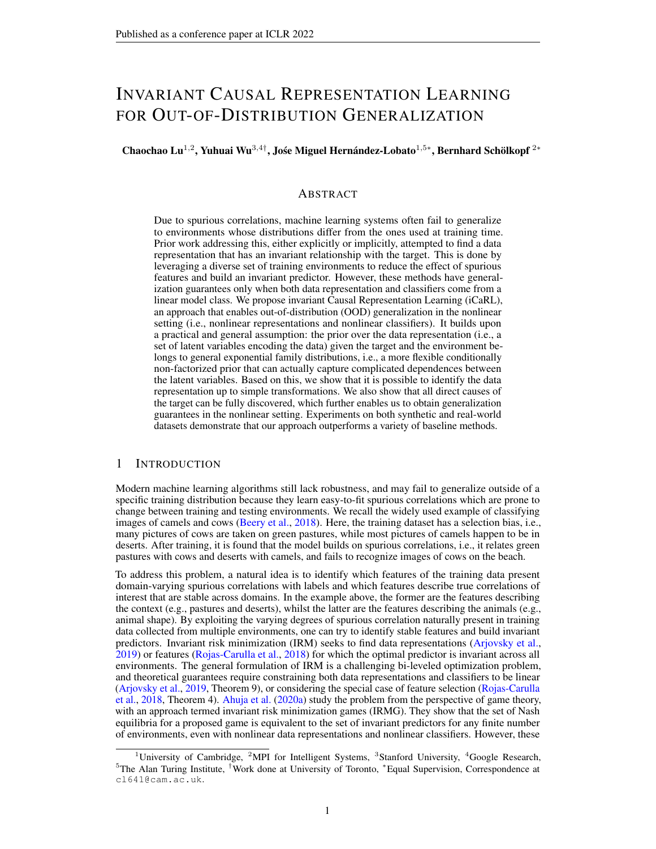Therefore, when is the index of an entry in the suf cient statisticsthat corresponds to factoin the factorized strongly exponential family distribution p̄ārt, the only non-zerœ<sub>tj</sub>are the ones that map between  $T_i(Z_i)$  and  $T_i(v_i(Z_i))$  , where  $T_i$  are the factors in  $T_f$  that only depend o $\bar{z}_i$  and  $T_i$  is de ned similarly. Therefore, we can construct an invertible submathwith all non-zero elements  $a_{ti}$  for all t that corresponds to factor such that

$$
T_i(Z_i) = A_i^0 T_i (v_i(Z_i)) = A_i^0 F_i (v_i(Z_i)) + c_i; \quad i = 1; \quad ; n; \tag{52}
$$

whereT<sub>i</sub> are the factors inT<sub>f</sub> that only depends o $\mathbf{z}_i$ , andc<sub>i</sub> are the corresponding elementscof  $_{i}^{0}$  of This means that the matrix is a block permutation matrix. For each  $1$ ; A af nely transformsT<sub>i</sub>(Z<sub>i</sub>) into T<sub>i</sub>(v<sub>i</sub>(Z<sub>i</sub>)). There is also an additional blo**ck**<sup>0</sup> which af nely transformsT<sub>NN</sub> (Z) into T<sub>NN</sub> ( $v(Z)$ ). This completes the proof. П

### H.1.3 PART III

Now we combine Theorem 4 in Part I and Theorem 5 in Part II into one theorem, which completes the proof of Theorem 1.

#### H.2 PROOF OFTHEOREM 2

We recall that the loss function in Phase 1 is as follows:

|       | $L_{phase}$ ; $) = L_{phase}^{ELBO}$ { ; $\uparrow$ ; $\uparrow$ ; $\uparrow$ ; $\downarrow$ $L_{phase}$ { $\uparrow$ $\uparrow$ $\uparrow$ ; $\uparrow$ $\rangle$ ; | (53) |
|-------|----------------------------------------------------------------------------------------------------------------------------------------------------------------------|------|
| where |                                                                                                                                                                      |      |
|       | $L_{\text{phase}}^{\text{ELBO}}($ ; $) := E_{p_D} E_{q_{(Z X;Y;E)}} [\log p_f(X Z) + \log p_T; (Z Y;E) \log q(Z X;Y;E)]$ ; (54)                                      |      |
|       | $L_{phase}^{SM}(T; ) := E_{p_D} E_{q (ZjX; Y; E)}$ jjr z logq (ZjX;Y;E) r z logp <sub>T;</sub> (ZjY;E)jj <sup>2</sup> : (55)                                         |      |

Proof. If the family of q  $(Z|X;Y;E)$  is exible enough to contairp  $(Z|X;Y;E)$ , then by optimizing the loss over its parameter we will minimize the score matching ter $\mathbf{h}^{\text{SM}}_{\text{phase}1}$ in Eq. (55), which will eventually reach zero. If we assume that the model is not degenerate and that q  $\Rightarrow$  0 everywhere, then having that  $\beta_{\text{phase1}}^{SM}$  = 0 implies thatr  $_Z$  logq (ZjX;Y;E) and r z logp<sub>T;</sub> (Z jY; E) are equal. This implies that gq (Z jX; Y; E) = log p<sub>T;</sub> (Z jY; E) + c for some constant. But c is necessarily because both  $(ZjX;Y;E)$  and  $p_T$   $(ZjY;E)$  are pdf's. Therefore, the ELBO terrb $_{\rm phase_{1}}^{\rm ELO}$ in Eq. (54) will be equal to the log-likelihood, meaning that the lossL<sub>phase1</sub>in Eq. (53) will be equal to the log-likelihood. Under this circumstance, the estimation in Eq. (53) inherits all the properties of maximum likelihood estimation (MLE). In this particular case, since our identi ability is guaranteed up to a permutation and componentwise transformation, the consistency of MLE means that we converge to the true parameter to a permutation and componentwise transformation in the limit of in nite data. Because true identi ability is one of the assumptions for MLE consistency, replacing it by identi ability up to a permutation and componentwise transformation does not change the proof but only the conclusion.  $\Box$ 

#### H.3 PROOF OFTHEOREM3

Proof. Theorem 1 and Theorem 2 guarantee that in the limit of in nite data, NF-iVAE can learn the true parameters  $:= (f, T, \tilde{)}$  up to a permutation and componentwise transformation of the latent variables. Le(t<sup>on</sup>,  $\uparrow$ ;  $\uparrow$ ) be the parameters obtained by NF-iVAE. We, therefore, have(f<sup>^</sup>;  $\uparrow$ ;  $\uparrow$ ,  $\rangle$  p (f ; T ; ), where p denotes the equivalence up to a permutation and componentwise transformation. If there were no noise, this would mean that the learneers forms X into  $\hat{Z} = f^{\wedge} 1(X)$  that are equal t $\bar{Z} = (f^{\wedge})^{-1}(X)$  up to a permutation and componentwise transformation (De nition 9). If with noise, we obtain the posterior distribution of the latent variables up to an analogous indeterminacy.  $\Box$ 

#### H.4 PROOF OFPROPOSITION1

Proof. Theorem A.1 in (Arjovsky, 2021) has showed that i) any predictor with optimal OOD generalization uses on $R$ a(Y) to compute ; ii) the classi erw in this optimal predictor can be estimated using data from any environment which the distribution oPa(Y  $e$ ) has full support;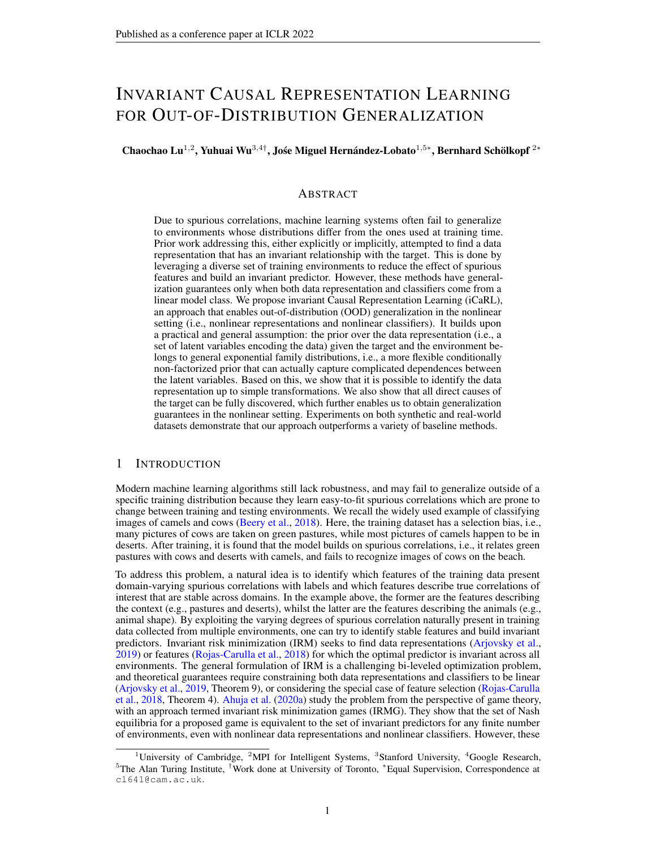iii) the optimal predictor will be invariant acrossenties in CaRL, the hypotheses of Theorems 1 and 2 and Assumption 1 guarantee that Y ) can be recovered by rst identifying the latent variables from  $X$ ,  $Y$  and E and then discovering the direct causes of through solving Eq. (12). Furthermore, since the conditional prior in Eq. (5) of the main text has full support, the distributional  $\mathbf{F}$  (9) always has full support. Also, under Assumption 1 we have  $p(A|Y)$  is invariant acros $E_{all}$ . Hence, the classi ew in this optimal predictor can be estimated using data from any environment We therefore have that the resulting optimal predictor will be invariant ad Egess This completes the proof.

 $\Box$ 

#### H.5 PROOF OFPROPOSITION2

Proof. The following rules can be independently performed to distinguish all the 10 structures shown in Figs. 3b-3k. For clarity, we divide them into three groups. Note that, since these rules rely on different algorithms of causal discovery and conditional independence tests, unless stated otherwise, we assume that the assumptions of these algorithms are satis ed during the proof process.

Group 1 All the six structures in this group can be discovered only by performing conditional independence tests.

- Rule 1.1 If  $Z_i$  ? Y,  $Z_i$  6? E, and E ? Y, then Fig. 3d is discovered.
- Rule 1.2 If  $Z_i$  6? Y,  $Z_i$  ? E, and E 6? Y, then Fig. 3g is discovered.
- Rule 1.3 If  $Z_i$  6? Y,  $Z_i$  6? E, and E ? Y, then Fig. 3f is discovered.
- Rule 1.4 If  $Z_i$  6? Y,  $Z_i$  6? E, E 6? Y, and  $Z_i$  ? Y j E, then Fig. 3i is discovered.
- Rule 1.5 If  $Z_i$  6? Y,  $Z_i$  6? E, E 6? Y, and  $Z_i$  ? E j Y, then Fig. 3h is discovered.
- Rule 1.6 If Z<sub>i</sub> 6? Y , Z<sub>i</sub> 6? E , E 6? Y , and Y ? E jZ<sub>i</sub>, then Fig. 3e is discovered.

Group 2 If  $Z_i$  6? Y,  $Z_i$  ? E, and E ? Y, then we can discover both Fig. 3b and Fig. 3c. These two structures cannot be further distinguished only by conditional independence tests, because they come from the same Markov equivalence class. Fortunately, we can further distinguish them by running binary causal discovery algorithms (Peters et al., 2017), e.g., ANM (Hoyer et al., 2009) for continuous data and CDS (Fonollosa, 2019) for continuous and discrete data.

- Rule 2.1 If  $Z_i$  6? Y,  $Z_i$  ? E, and E ? Y, and a chosen binary causal discovery algorithm prefer $\mathbf{z}_i$ ! Y to Z<sub>i</sub> Y, then Fig. 3b is discovered.
- Rule 2.2 If  $Z_i$  6? Y,  $Z_i$  ? E, and E ? Y, and a chosen binary causal discovery algorithm prefer $\mathbf{z}_i$  Y to Z<sub>i</sub>! Y, then Fig. 3c is discovered.

Group 3 If Z<sub>i</sub> 6? Y, Z<sub>i</sub> 6? E, E 6? Y, Z<sub>i</sub> 6? Y jE, Z<sub>i</sub> 6? E jY, andY 6? E jZ<sub>i</sub>, then we can discover both Fig. 3j and Fig. 3k. These two structures cannot be further distinguished only by conditional independence tests, because they come from the same Markov equivalence class. They also cannot be distinguished by any binary causal discovery algorithm, since both Y are affected byE . Fortunately, Zhang et al. (2017) provided a heuristic solution to this case based on the invariance of causal mechanisms,  $Re$ , cause and P (effect cause change independently. The detailed description of their method is given in Section 4.2 of Zhang et al. (2017). For convenience, here we directly borrow their nal result. Zhang et al. (2017) states that determining the causal direction betweenZ<sub>i</sub> andY in Fig. 3j and Fig. 3k is nally reduced to calculating the following term: \* +

$$
z_{i}! \ \gamma = \ \log \frac{P(Y|Z_{i})}{h^{p}(Y|Z_{i})i} \ ; \tag{56}
$$

whereh i denotes the sample average,  $Y | Z_i$  is the empirical estimate  $\mathbf{d}P(Y | Z_i)$  on all data points, and  $\mathbf{P}^{\prime}(Y | Z_i )$  i denotes the sample average of  $Y | Z_i$  ), which is the estimate  $\mathbf{P}(Y | Z_i )$ in each environment. We take the direction for whichis smaller to be the causal direction.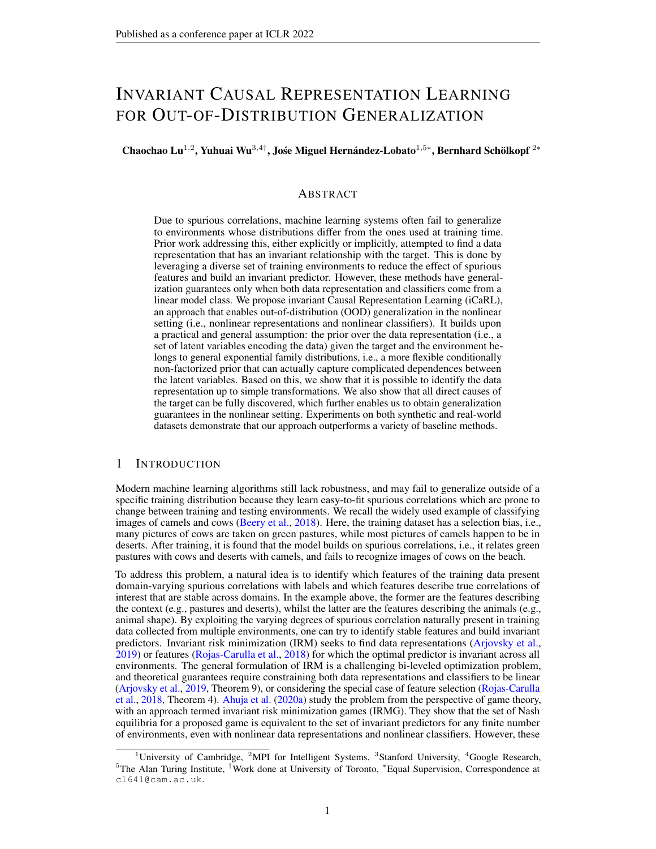- Rule 3.1 If Z<sub>i</sub> 6? Y, Z<sub>i</sub> 6? E, E 6? Y, Z<sub>i</sub> 6? Y jE, Z<sub>i</sub> 6? E jY, Y 6? E jZ<sub>i</sub>, and  $Z_{i}$ !  $\gamma$  is smaller than  $\gamma_{\perp}$   $_{Z_{i}}$ , then Fig. 3j is discovered.
- Rule 3.2 If Z<sub>i</sub> 6? Y , Z<sub>i</sub> 6? E , E 6? Y , Z<sub>i</sub> 6? Y jE , Z<sub>i</sub> 6? E jY , Y 6? E jZ<sub>i</sub> , and  $\gamma_{\perp}$  z<sub>i</sub> is smaller than  $|z_{i}|\rangle_{\rm Y}$  , then Fig. 3k is discovered.

 $\Box$ 

### I I LLUSTRATIONS FORMODEL LEARNING

As described in Section 3.3, in the ground truth model, the prior for  $\vec{\bf z}$   $_{\rm QQD}$  is eitherp(Z $_{\rm i}$  jE ) or p(Z<sub>i</sub>), depending on wheth**ad**<sub>i</sub> is caused by or not. By contrast, in the NF-iVAE model the prior is p(Z jY ; E ). Is this going to affect the identi ability of the latent variables? Well, in practice not because the posterior distribution  $\varpi_{\text{G}}(X, Y, Y)$  and E would be equivalent in both models (up to identi ability guarantees).

### J DATASETS

For convenience and completeness, we provide descriptions of Colored MNIST Digits and Colored Fashion MNIST here. Please refer to the original papers (Arjovsky et al., 2019; Ahuja et al., 2020a; Gulrajani & Lopez-Paz, 2020; Venkateswara et al., 2017) for more details.

### J.1 SYNTHETIC DATA

For the nonlinear transformation, we use the MLP:

- Input layer: Input batch(batch size, input dimension)
- Layer 1: Fully connected layer, output size  $= 6$ , activation  $= ReLU$
- Output layer: Fully connected layer, output size = 10

#### J.2 COLORED MNIST DIGITS

We use the exact same environment as in Arjovsky et al. (2019). Arjovsky et al. (2019) propose to create an environment for training to classify digits in MNIST data here the images in MNIST are now colored in such a way that the colors spuriously correlate with the labels. The task is to classify whether the digit is less than 5 (not including 5). There are three environments (two training containing 30,000 points each, one test containing 10,000 points) We add noise to the preliminary label  $\psi = 0$  if the digit is between 0-4 and  $\epsilon = 1$  if the digit is between 5-9) by ipping it with 25 percent probability to construct the -nal labels. We sample the colarbid ipping the -nal labels with probabilityp<sub>e</sub>, wherep<sub>e</sub> is 0:2 in the rst environment $0$ :1 in the second environment, a $0$ c $9$ in the third environment. The third environment is the testing environment. We color the digit red if  $z = 1$  or green if  $z = 0$ .

### J.3 COLORED FASHION MNIST

We modify the fashion MNIST dataset in a manner similar to the MNIST digits dataset. Fashion MNIST data has images from different categories: "t-shirt", "trouser", "pullover", "dress", "coat", "sandal", "shirt", "sneaker", "bag", "ankle boots". We add colors to the images in such a way that the colors correlate with the labels. The task is to classify whether the image is that of foot wear or a clothing item. There are three environments (two training, one test) We add noise to the preliminary label  $\psi$  = 0: "t-shirt", "trouser", "pullover", "dress", "coat", "shirt" and  $\psi$  = 1: "sandal", "sneaker", "ankle boots") by ipping it with 25 percent probability to construct the nal label. We sample the color id z by ipping the noisy label with probability e<sub>e</sub>, where pe is 0:2 in the rst environment 0:1

<sup>10</sup>https://www.tensorflow.org/api\_docs/python/tf/keras/datasets/mnist/ load data

<sup>11</sup>https://www.tensorflow.org/api\_docs/python/tf/keras/datasets/fashion\_ mnist/load\_data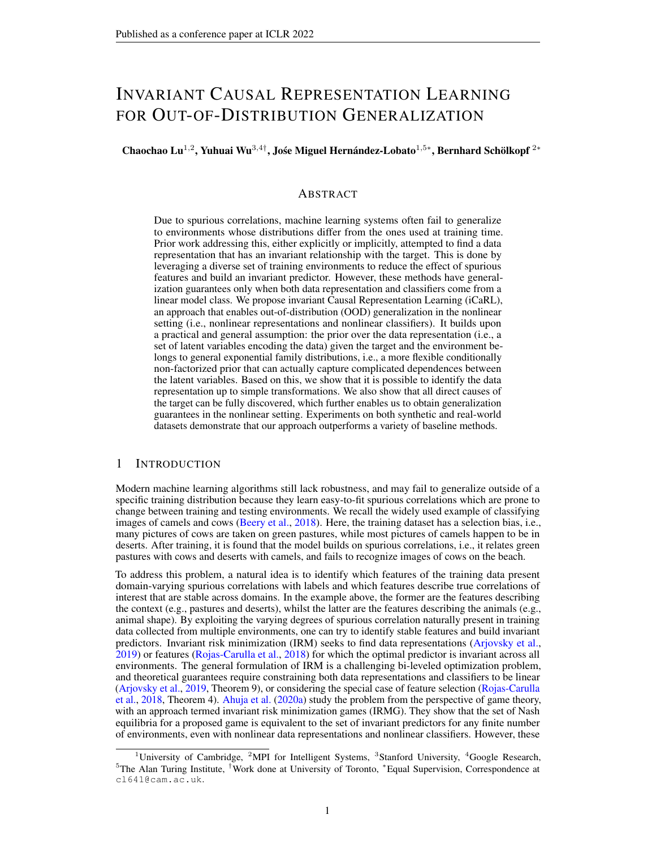| g( )      | <b>METHOD</b>     | <b>TRAIN</b><br>$\binom{3}{3}$ = f 0:2; 2g) |      | <b>TEST</b> | $_3 = 100$ |
|-----------|-------------------|---------------------------------------------|------|-------------|------------|
| ldentity  | ERM               | 0:00                                        | 0:00 | 0:00        | 0:00       |
|           | <b>IRM</b>        | 0:00                                        | 0:00 | 0:00        | 0:00       |
|           | <b>F-IRM GAME</b> | 0:98                                        | 0:23 | 1:03        | 0:04       |
|           | <b>V-IRM GAME</b> | 0:99                                        | 2:74 | 1:07        | 2:26       |
|           | iCaRL (ours)      | 0:01                                        | 0:03 | 1:00        | 0:01       |
| Linear    | FRM               | 0:00                                        | 0:00 | 0:00        | 0:00       |
|           | IRM               | 0:00                                        | 0:00 | 0:00        | 0:00       |
|           | <b>F-IRM GAME</b> | 0:99                                        | 0:01 | 1:08        | 0:06       |
|           | <b>V-IRM GAME</b> | 1:00                                        | 5:98 | 1:05        | 0:04       |
|           | iCaRL (ours)      | 0:01                                        | 0:03 | 1:01        | 0:04       |
| Nonlinear | ERM               | 0:06                                        | 0:01 | 22079       | 22997      |
|           | IRM               | 0:08                                        | 0:01 | 14960       | 10485      |
|           | <b>F-IRM GAME</b> | 1:06                                        | 0:09 | 19659       | 150.71     |
|           | V-IRM GAME        | 1:00                                        | 0:01 | 17046       | 12562      |
|           | iCaRL (ours)      | 0:29                                        | 0:04 | 28:16       | 2:54       |

Table 3: Results on synthetic data. Comparisons are in terms of MSE (meand deviation).

in the second environment,  $a\hat{0}d\hat{0}$  in the third environment, which is the test environment. We color the object red if  $z = 1$  or green if  $z = 0$ .

### K I N-DEPTH ANALYSIS ON SYNTHETIC DATA

#### K.1 COMPARISONS WITHSTATE-OF-THE-ART

We rst conduct a series of experiments on synthetic data generated according to an extension of the SEM in Model 1. The extension is to map the varial  $\mathbb{Z}$ es ( $Z_1$ ;  $Z_2$ ) into a 10 dimensional observationX through a linear or nonlinear transformation. Our goal is to predictiom  $X$ , where  $X = g(Z)$ . We consider three transformations: (dentity g() is the identity matrix 2 R<sup>2</sup><sup>2</sup>, i.e.,  $X = g(Z) = Z$ . (b) Linear: g() is a random matrix 2  $R^2$  <sup>10</sup>, i.e.,  $X = g(Z) = Z$  S. (c) Nonlinear: g( ) is given by a neural network with 2-dimensional input and 10-dimensional output, whose parameters are randomly set in advance. Since this is a regression task, we use the mean squared error (MSE) as a metric of performance. Note that, in this problem, there is only one causal latent variable<sub>1</sub>, meaning that the conditional prior in Eq. (5) will not exhibit dependencies. Because of this, in this case we do not include  $a$   $(Z)$  term in our NF-iVAE conditional prior. In the following section we do consider settings with many potential causal latent variables and, in that case, we do includ $\mathbf{\Phi}_{NN}$  (Z ) in the NF-iVAE prior.

We consider a simple scenario in which we  $x = 1$  and  $z = 0$  for all environments and only allow  $_3$  to vary across environments. In this case controls the spurious correlations between and Y. Each experiment draws 1000 samples from each of the three environments  $0:2;2;100g$ , where the rst two are for training and the third for testing. We compare with the following baselines: ERM, and two variants of IRMG: F-IRM Game (with xed to the identity) and V-IRM Game (with variable ).

As shown in Table 3, in the cases **Identity** and Linear, our approach is better than IRMG but only comparable with ERM and IRM. This might be because the identi-ability result up to a simple nonlinear transformation renders the problem more dif cult by converting the original identity or linear problem into a nonlinear problem. In the nlinearcase, the gains of iCaRL are very clear.

Table 4: Comparisons of assumptions on the prior leading to identi ability in different algorithms.

| METHOD  | Assumption on the Prior for Identi ability                                                                                                                                                                                                                                                                                               |
|---------|------------------------------------------------------------------------------------------------------------------------------------------------------------------------------------------------------------------------------------------------------------------------------------------------------------------------------------------|
| NF-iVAF | VAE (Kingma & Welling, 2013)<br>iVAE (Khemakhem et al., 2020a)<br>ICE-BeeM (Khemakhem et al., 2020b) $p_{T}$ ; (ZjY;E) = $Q_iQ(Y;E) = \sum_{i}^{n} Q_i(Z_i) = Q(Y;E)$<br>ICE-BeeM (Khemakhem et al., 2020b) $p_{T}$ ; (ZjY;E) = Q(Z)=Q(Y;E) $\sum_{i}^{n} \$<br>$p_T$ : $(Z \,   Y \, ; E) = Q(Z) = C(Y \, ; E) \exp[T(Z)^T (Y \, ; E)]$ |

 $12$ We also tried ICP, but ICP was unable to nd any parenY o tven in the identity case.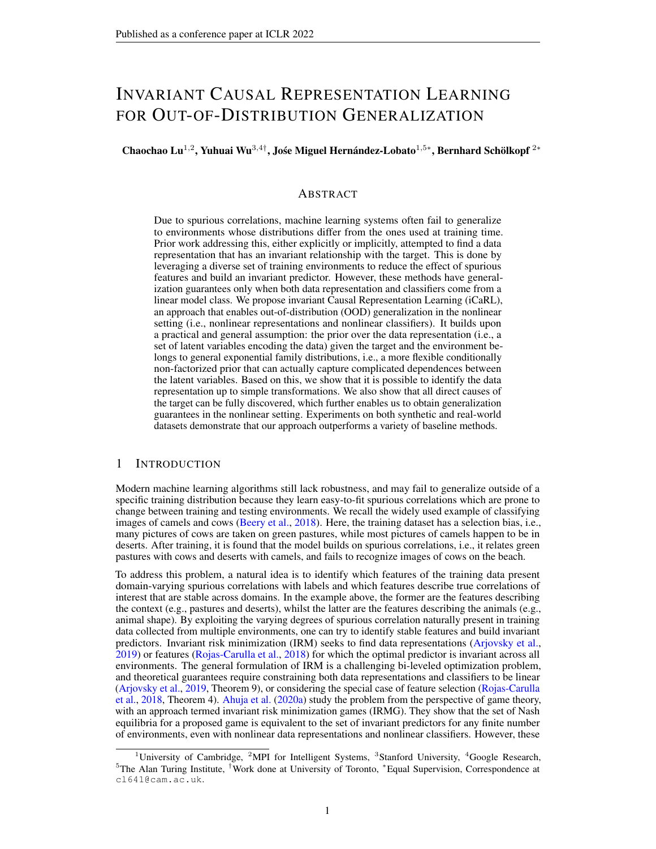

Figure 4: (a) Causal structure with having two causes. (b) Data generating process corresponding to (a), whereUf g denotes the discrete uniform distribution,  $\lambda$  ( ) the Gaussian distribution, angoughtion, and is given by a neural network with 2-dimensional input and 10-dimensional output, whose parameters are randomly set in advance.

(b) VAE (c) iVAE

(a) Data generating model

(d) ICE-BeeM (e) iCaRL-NF-iVAE

Figure 5: Visualization of the samples (i. $\hat{\pmb{Z}}_{\cdot,} =$  (  $\hat{\mathcal{Z}}_1$  ;  $\hat{\mathcal{Z}}_2$ )) in latent space generated through different algorithms. (a) Samples from the true distribution. (b-e) Samples from the posterior of different algorithms. Apparently, our method (e) can recover the original data up to a permutation and a simple componentwise transformation.

K.2 VISUALIZATION OF IDENTIFIABILITY OF NF-IVAE

To further verify identi ability of NF-iVAE, we conduct a series of experiments on synthetic data generated according to the data generating process (Fig. 4b) corresponding to the causal graph shown in Fig. 4a. The reason we choose this setting is that it is the simplest case satisfying our requirements: a) For ease of visualization, the latent space had better be 2-dimensional; b) To introduce the non-factorized prior give⁄n andE (i.e.,Z<sub>i</sub> 6? Z<sub>j</sub> jY ; E ), Y has at least two causes.

We draw 1000 samples from each of the four environments f 0:2; 2; 3; 5g, and thus the whole synthetic dataset consists of 4000 samples. We compare with the following baselines: VAE Kingma & Welling (2013) (without identi ability guarantees), iVAE Khemakhem et al. (2020a) (with a conditionally factorized prior for identi ability), and ICE-BeeM Khemakhem et al. (2020b). It is worth noting that in ICE-BeeM the primary assumption leading to identi ability is similar to that in  $i$ VAE, where the base measure  $Z$  ) could be arbitrary to capture the dependences between latent variables but the exponential term still has to factorize across components (dimensions). All these are summarized in Table 4. Clearly, from the table we can see that our method has a more general assumption on the prior leading to identi ability. This is also demonstrated empirically in Fig. 5. Our method iCaRL can recover the original dataup to a permutation and a simple componentwise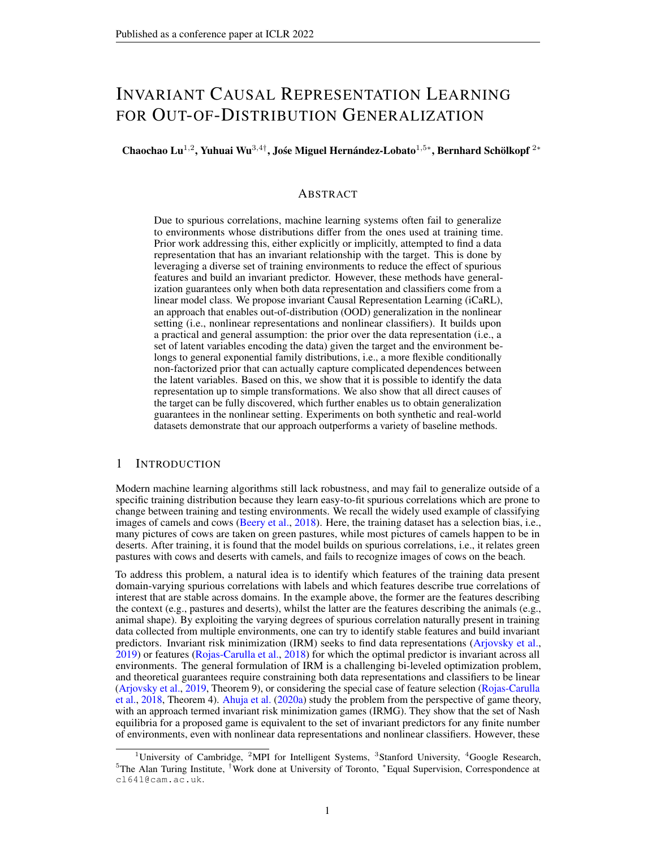| <b>METHOD</b>     | <b>TRAIN</b> |      | TEST  |      |
|-------------------|--------------|------|-------|------|
| ERM               | 8488         | 0:16 | 1045  | 0.66 |
| ERM <sub>1</sub>  | 8484         | 0:21 | 1086  | 0:52 |
| ERM <sub>2</sub>  | 8495         | 0:20 | 1005  | 0:23 |
| ROBUST MIN MAX    | 8425         | 0:43 | 1524  | 2:45 |
| <b>F-IRM GAME</b> | 6337         | 1:14 | 5991  | 2:69 |
| <b>V-IRM GAME</b> | 6397         | 1:03 | 4906  | 3:43 |
| IRM               | 5927         | 4:39 | 6275  | 9:59 |
| iCaRL (ours)      | 70:56        | 0:81 | 68:75 | 1:45 |
| ERM GRAYSCALE     | 71:81        | 0:47 | 7136  | 0:65 |
| <b>OPTIMAL</b>    | 75           |      | 75    |      |

Table 5: Colored MNIST. Comparisons in terms of accuracy (%) (mean std deviation).

Table 6: PACS. Comparisons in terms of accuracy (%) (mean std deviation).

| <b>METHOD</b>                  | TEST |               |
|--------------------------------|------|---------------|
| ERM                            | 857  | $0.5^{\circ}$ |
| IRM                            | 844  | 1:1           |
| DRO (Sagawa et al., 2019)      | 841  | 0:4           |
| Mixup (Yan et al., 2020)       | 843  | 0:5           |
| CORAL (Sun & Saenko, 2016) 860 |      | 0:2           |
| MMD (Li et al., 2018b)         | 850  | 0:2           |
| DANN (Ganin et al., 2016)      | 846  | 1:1           |
| C-DANN (Li et al., 2018c)      | 828  | 1:5           |
| LaCIM (Sun et al., 2020)       | 835  | 1:2           |
| iCaRL (ours)                   | 88:7 | 0:6           |
|                                |      |               |

transformation, whereas all the other methods fail because they are unable to handle the case in which Z<sub>i</sub> 6? Z<sub>j</sub> jY ; E .

# L IN-DEPTH ANALYSIS ON MORE REALISTIC DATA

### L.1 COLORED MNIST

We compare iCaRL with 1) IRM, 2) two variants of IRMG: F-IRM Game (withxed to the identity) and V-IRM Game (with a variable ), 3) three variants of ERM: ERM (on entire training data), ERM e (on each environmerd), and ERM GRAYSCALE (on data with no spurious correlations), and 4) ROBUST MIN MAZ (minimizing the maximum loss across the multiple environments). Table 1 shows that iCaRL outperforms all other baselines on Colored MNIST. However, this dataset seems more dif cult because even ERM GRAYSCALE, where the spurious correlation with color is removed, falls well short of the optimum.

# L.2 PACS

We report the results on another one of the widely used realistic datasets for OOD generalization: PACS (Li et al., 2017a). This dataset consist $9.0991$  images of dimension(3; 224; 224) and 7 classes from four domains: art, cartoons, photos, and sketches. We used the exact experimental setting that is described in Gulrajani & Lopez-Paz (2020). We provide results averaged over all possible train and test environment combination for one of the commonly used hyper-parameter tuning procedure: train domain validation. As shown in Table 6, iCaRL achieves state-of-the-art performance when compared to those most popular domain generalization alternatives.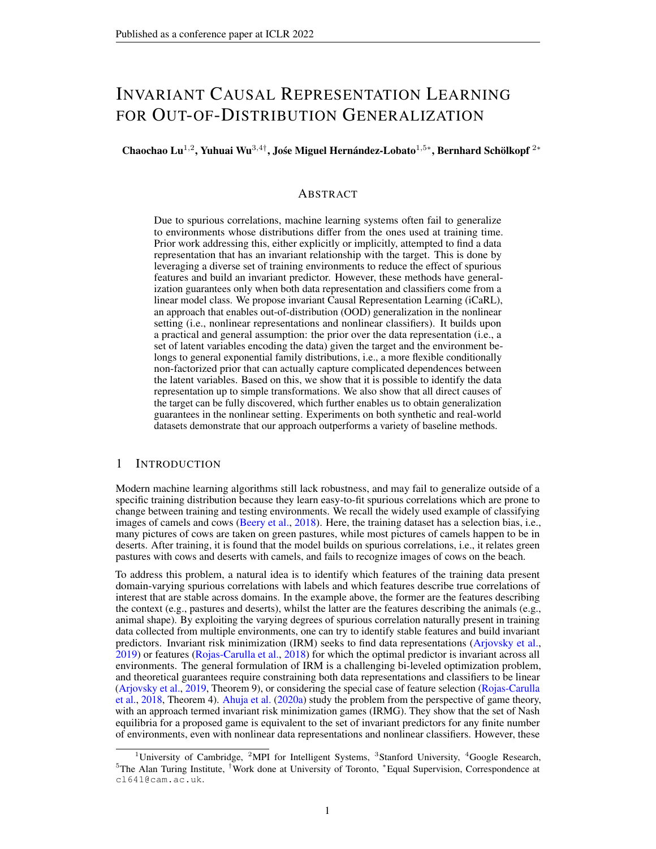# **M** IMPLEMENTATION DETAILS

### M.1 JOINT TRAINING

As described in Section 4.1, we can jointly learn (b) by optimizing the following objective:  $L_{phase{ }}$  ; ) =  $L_{phase}^{ELBO}$  { $f$ ;  $\uparrow$ ;  $\uparrow$ ; )  $\downarrow$   $_{phase}^{SM}$  { $f^{\wedge}$ ;  $T$ ; ;  $\binom{62}{}$  $=\mathsf{E}_{\mathsf{p}_\mathsf{D}}$ h  $E_{q}$  (z jx ; Y ; E ) h  $\mathsf{log}\,\mathsf{p}_\mathsf{f}\;(\mathsf{X}\;\mathsf{j}\mathsf{Z}\,)+\mathsf{log}\;\mathsf{p}_{\mathsf{f}^\mathsf{i},\mathsf{f}^\mathsf{i}}(\mathsf{Z}\;\mathsf{j}\mathsf{Y}\,;\mathsf{E}\,)$   $\mathsf{log}\,\mathsf{q}\;(\mathsf{Z}\;\mathsf{j}\mathsf{X}\;;\mathsf{Y}\,;\mathsf{E}\,)$ ii  $\mathsf{E}_{\mathsf{p}_\mathsf{D}}$ h  $E_{q_A(ZjX;Y;E)}$ h jjr  $_Z$  log q $_\wedge$ (Z jX ; Y ; E ) r  $_Z$  log p $_{\rm T}$  ; (Z jY ; E )jj $^2$ ii (63)  $=\sf{E}_{\sf{p}_D}$ h  $E_{q(Z|X;Y;E)}$ h  $\mathsf{log}\,\mathsf{p}_\mathsf{f}\;(\mathsf{X}\;\mathsf{j}\mathsf{Z}\,)+\mathsf{log}\;\mathsf{p}_{\,\mathsf{P}_\mathsf{1}\,'\,\mathsf{N}}\;(\mathsf{Z}\;\mathsf{j}\mathsf{Y}\,;\mathsf{E}\,)$   $\mathsf{log}\,\mathsf{q}\;(\mathsf{Z}\;\mathsf{j}\mathsf{X}\;;\mathsf{Y}\,;\mathsf{E}\,)$ ii  $E_{\rho_D}$ "  $E_{q_A(ZjX;Y;E)}$ "<br>እ<sup>ስ</sup> j =1 "  $@p_{T}$ ; (ZjY;E)  $\frac{(ZjY;E)}{@Z} + \frac{1}{2}$ 2  $@p;$  (Z jY ; E ) @Z<sup>j</sup> 2 ###  $+$  const: (64)

where the last equality is due to the equation in Appendix C.2, farmod;  $\hat{C}$ ,  $\hat{C}$  are copies of f: T: : that are treated as constants and whose gradient is not calculated during learning. In practice,f<sup>^</sup>; T<sup>^</sup>; ^ can be easily implemented through eithdetach " in PyTorch Paszke et al. (2019) or "stop\_gradient " in TensorFlow Abadi et al. (2015).

### M.2 THE GENERAL NON-FACTORIZED PRIOR

In the experiments, the general non-factorized prior in Assumption 2 is implemented as follows:  $p_T$ ; (ZjY;E) =  $N(Z; param1); NAY; E; param2)$  +  $poncat( Z; Z^2); NAY; E; param3)$ ;

whereh; i is the dot product of two vectors, **and** 
$$
(\gamma, \epsilon)
$$
  $\gamma$   $\gamma$   $\gamma$   $\gamma$   $\gamma$   $\gamma$   $\gamma$   $\gamma$   $\gamma$   $\gamma$   $\gamma$   $\gamma$   $\gamma$   $\gamma$   $\gamma$   $\gamma$   $\gamma$   $\gamma$   $\gamma$   $\gamma$   $\gamma$   $\gamma$   $\gamma$   $\gamma$   $\gamma$   $\gamma$   $\gamma$   $\gamma$   $\gamma$   $\gamma$   $\gamma$   $\gamma$   $\gamma$   $\gamma$   $\gamma$   $\gamma$   $\gamma$   $\gamma$   $\gamma$   $\gamma$   $\gamma$   $\gamma$   $\gamma$   $\gamma$   $\gamma$   $\gamma$   $\gamma$   $\gamma$   $\gamma$   $\gamma$   $\gamma$   $\gamma$   $\gamma$   $\gamma$   $\gamma$   $\gamma$   $\gamma$   $\gamma$   $\gamma$   $\gamma$   $\gamma$   $\gamma$   $\gamma$   $\gamma$   $\gamma$   $\gamma$   $\gamma$   $\gamma$   $\gamma$   $\gamma$   $\gamma$   $\gamma$   $\gamma$  

Firstly, concat  $(Z;Z^2)$  is a vector of the latent variables and their squared values, and NNY; E; param3) is a deep neural network parameterized **b**y param3 that computes a vector of natural parameters as a function Yof and E. Hence, the term concat  $(Z, Z^2)$ ; NNY; E; param3) is equivalent to the factorized exponential family, which also satis es that eac ${\textsf F}_{\textsf{i}}\left({\textsf{Z}}_{\textsf{i}}\right)$  has dimension larger or equal to 2.

Secondly, NN(Z; param1) is a neural network that receives as input a vector of latent variables and outputs another vector representing complicated nonlinear transformations of those variables.  $N$ f,  $E$ ; param2) is another neural network that generates a corresponding vector of natural parameters. Hence, the term  $NZ$ ; param1 );  $NNY$ ; E; param2 ) will allow this prior to capture the dependencies between the latent variables

# N HYPERPARAMETERS ANDARCHITECTURES

In this section, we describe the hyperparameters and architectures of different models used in different experiments. Unless stated otherwise, we have 1 and  $_2$  = 1, both of which are selected on training/validation data.

### N.1 SYNTHETIC DATA

We used Adam optimizer for training with learning rate set to 1e-3 and batch sizets at to

### N.1.1 ERM

Linear ERM

- Input layer: Input batch(batch size, input dimension)
- Output layer: Fully connected layer, output size = 1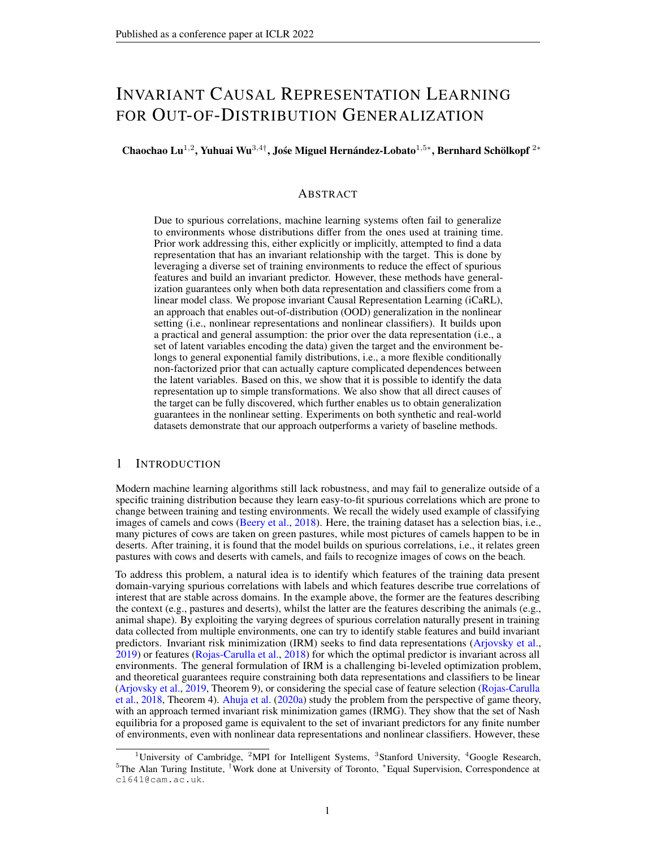### Nonlinear ERM

- Input layer: Input batch *(batch size, input dimension)*
- Layer 1: Fully connected layer, output size  $= 6$ , activation  $= ReLU$
- Output layer: Fully connected layer, output size  $= 1$

### N.1.2 IRM

### Linear Data Representation

- Input layer: Input batch *(batch size, input dimension)*
- Output layer: Fully connected layer, output size  $= 1$

### Nonlinear Data Representation

- Input layer: Input batch *(batch size, input dimension)*
- Layer 1: Fully connected layer, output size = 6, activation = ReLU
- Output layer: Fully connected layer, output size = 1

### N.1.3 F-IRM GAME

#### Linear Classifier w

- Input layer: Input batch *(batch size, input dimension)*
- Output layer: Fully connected layer, output size = 1

#### Nonlinear Classifier w

- Input layer: Input batch *(batch size, input dimension)*
- Layer 1: Fully connected layer, output size  $= 6$ , activation  $= ReLU$
- Output layer: Fully connected layer, output size = 1

### N.1.4 V-IRM GAME

#### Linear Data Representation

- Input layer: Input batch *(batch size, input dimension)*
- Output layer: Fully connected layer, output size = 2

#### Nonlinear Data Representation

- Input layer: Input batch *(batch size, input dimension)*
- Layer 1: Fully connected layer, output size  $= 6$ , activation  $= ReLU$
- Output layer: Fully connected layer, output size = 2

### Linear Classifier w

- Input layer: Input batch *(batch size, 2)*
- Output layer: Fully connected layer, output size = 1

### Nonlinear Classifier w

- Input layer: Input batch *(batch size, 2)*
- Layer 1: Fully connected layer, output size  $= 6$ , activation  $= ReLU$
- Output layer: Fully connected layer, output size = 1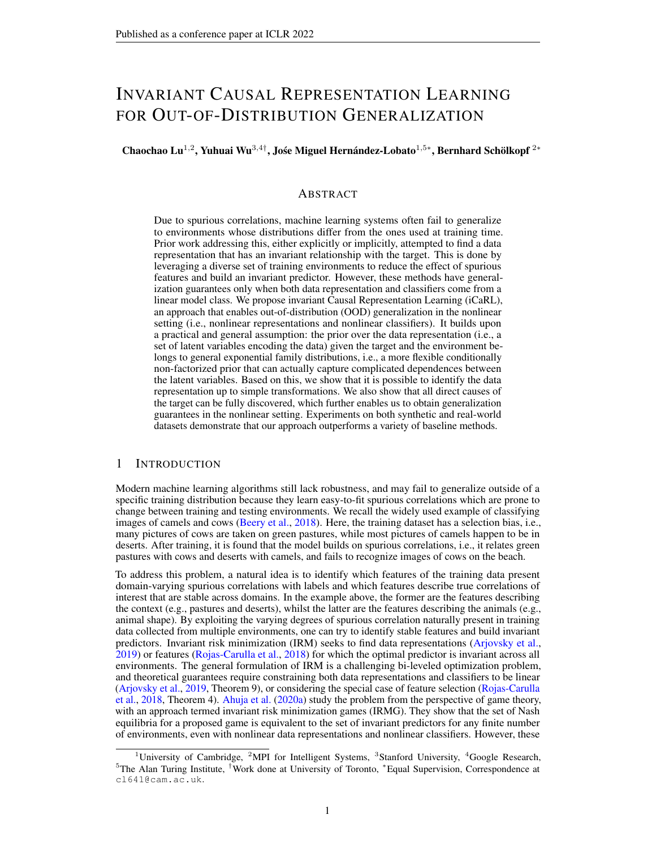### N.1.5 ICARL

#### $NF-iVAE$  f-Linear Prior

- Input layer: Input batch *(batch size, input dimension)*
- Output layer: Fully connected layer, output size  $= 4$

#### $NF-iVAE$  f-Nonlinear Prior

- Input layer: Input batch *(batch size, input dimension)*
- Layer 1: Fully connected layer, output size  $= 6$ , activation  $= ReLU$
- Output layer: Fully connected layer, output size  $= 4$

### NF-iVAE  $T_{NN}$ -Nonlinear Prior

- Input layer: Input batch *(batch size, input dimension)*
- Layer 1: Fully connected layer, output size = 6, activation = ReLU
- Output layer: Fully connected layer, output size = 1

#### $NF-iVAE$   $_{NN}$ -Nonlinear Prior

- Input layer: Input batch *(batch size, input dimension)*
- Layer 1: Fully connected layer, output size  $= 6$ , activation  $= ReLU$
- Output layer: Fully connected layer, output size = 1

#### NF-iVAE Linear Encoder

- Input layer: Input batch *(batch size, input dimension)*
- Mean Output layer: Fully connected layer, output size  $= 2$
- Log Variance Output layer: Fully connected layer, output size = 2

### NF-iVAE Nonlinear Encoder

- Input layer: Input batch *(batch size, input dimension)*
- Layer 1: Fully connected layer, output size  $= 6$ , activation  $= ReLU$
- Mean Output layer: Fully connected layer, output size = 2
- Log Variance Output layer: Fully connected layer, output size = 2

#### NF-iVAE Linear Decoder

- Input layer: Input batch *(batch size, 2)*
- Mean Output layer: Fully connected layer, output size = output dimension
- Variance Output layer: 0.01 1, where 1 is a vector full of 1 with the length of output dimension

### NF-iVAE Nonlinear Decoder

- Input layer: Input batch *(batch size, 2)*
- Layer 1: Fully connected layer, output size  $= 6$ , activation  $= ReLU$
- Mean Output layer: Fully connected layer, output size = output dimension
- Variance Output layer: 0.01 1, where 1 is a vector full of 1 with the length of output dimension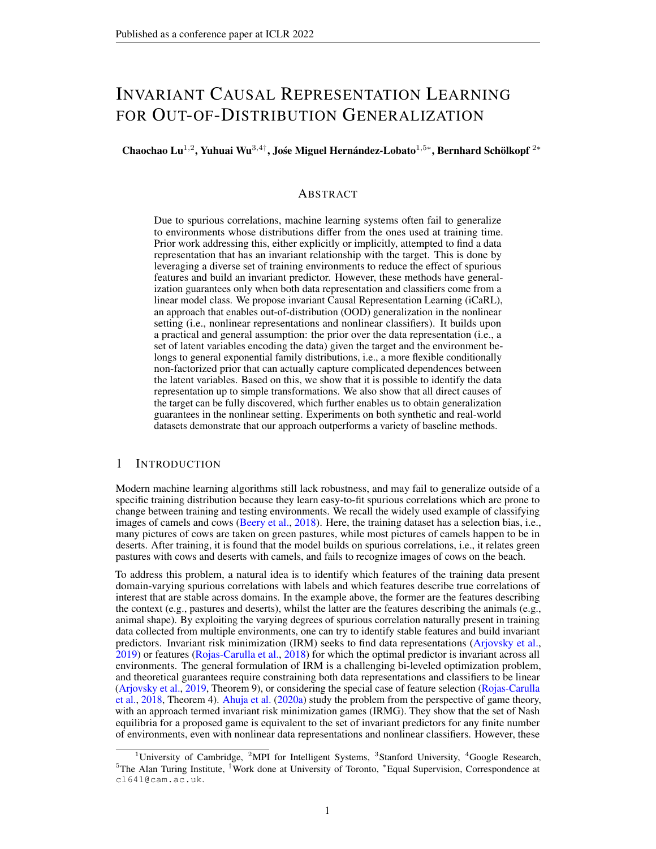### Linear Classifier w

- Input layer: Input batch *(batch size, 1)*
- Output layer: Fully connected layer, output size = 1

### Nonlinear Classifier w

- Input layer: Input batch *(batch size, 1)*
- Layer 1: Fully connected layer, output size  $= 6$ , activation  $= ReLU$
- Output layer: Fully connected layer, output size = 1

### N.2 CMNIST AND CFMNIST

Considering that the results of most baselines come from IRMG (Ahuja et al., 2020a), for a fair comparison, we follow the same setting of IRMG in terms of hyper-parameters and validation considerations. For example, the batch size is set to 256, and the learning rate is 10−<sup>4</sup> . We also did not use the test environment data for validation. Please find more details in Ahuja et al. (2020a).

### NF-iVAE  $T_{NN}$ -Prior

- Input layer: Input batch *(batch size, input dimension)*
- Layer 1: Fully connected layer, output size = 50, activation = ReLU
- Output layer: Fully connected layer, output size = 45

### $NF-iVAE$   $_{NN}$ -Prior

- Input layer: Input batch *(batch size, input dimension)*
- Layer 1: Fully connected layer, output size  $= 50$ , activation  $= ReLU$
- Output layer: Fully connected layer, output size = 45

### $NF-iVAE$  f-Prior

- Input layer: Input batch *(batch size, input dimension)*
- Layer 1: Fully connected layer, output size = 50, activation = ReLU
- Output layer: Fully connected layer, output size = 20

#### NF-iVAE X-Encoder

- Input layer: Input batch *(batch size, 2, 28, 28)*
- Layer 1: Convolutional layer, output channels = 32, kernel size = 3, stride = 2, padding = 1, activation = ReLU
- Layer 2: Convolutional layer, output channels = 32, kernel size = 3, stride = 2, padding = 1, activation = ReLU
- Layer 3: Convolutional layer, output channels = 32, kernel size = 3, stride = 2, padding = 1, activation = ReLU
- Output layer: Flatten

### $NF-iVAE$   $(Y, E)$ -Encoder

- Input layer: Input batch *(batch size, input dimension)*
- Output layer: Fully connected layer, output size = 100, activation = ReLU